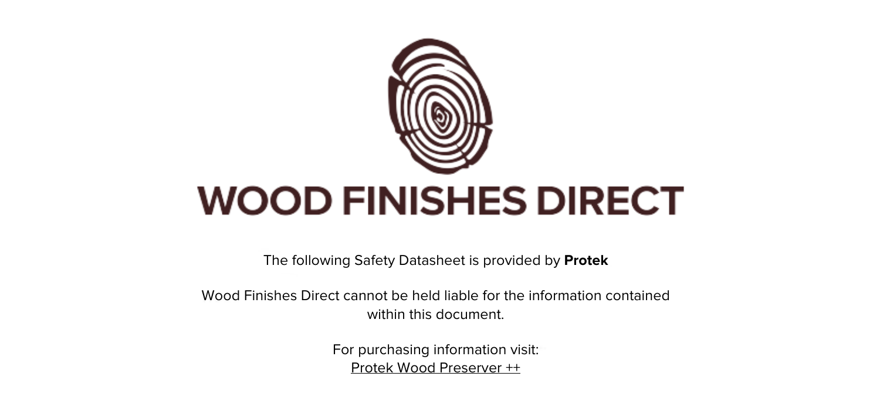

The following Safety Datasheet is provided by **Protek**

Wood Finishes Direct cannot be held liable for the information contained within this document.

> For purchasing information visit: [Protek Wood Preserver ++](https://www.wood-finishes-direct.com/product/protek-wood-preserver-plus)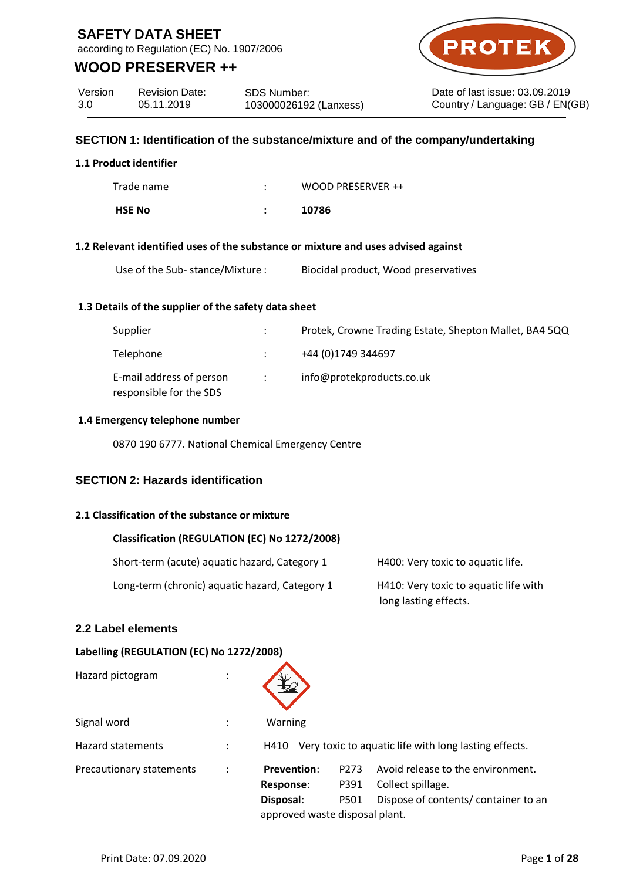according to Regulation (EC) No. 1907/2006

## **WOOD PRESERVER ++**



Date of last issue: 03.09.2019 Country / Language: GB / EN(GB)

| Version | <b>Revision Date:</b> | <b>SDS Number:</b>     |
|---------|-----------------------|------------------------|
| 3.0     | 05.11.2019            | 103000026192 (Lanxess) |

### **SECTION 1: Identification of the substance/mixture and of the company/undertaking**

### **1.1 Product identifier**

| Trade name    | WOOD PRESERVER ++ |
|---------------|-------------------|
| <b>HSE No</b> | 10786             |

#### **1.2 Relevant identified uses of the substance or mixture and uses advised against**

### **1.3 Details of the supplier of the safety data sheet**

| Supplier                                            |                   | Protek, Crowne Trading Estate, Shepton Mallet, BA4 5QQ |
|-----------------------------------------------------|-------------------|--------------------------------------------------------|
| Telephone                                           |                   | +44 (0)1749 344697                                     |
| E-mail address of person<br>responsible for the SDS | $\sim$ 100 $\sim$ | info@protekproducts.co.uk                              |

#### **1.4 Emergency telephone number**

0870 190 6777. National Chemical Emergency Centre

## **SECTION 2: Hazards identification**

### **2.1 Classification of the substance or mixture**

| Classification (REGULATION (EC) No 1272/2008)  |                                                                |
|------------------------------------------------|----------------------------------------------------------------|
| Short-term (acute) aquatic hazard, Category 1  | H400: Very toxic to aquatic life.                              |
| Long-term (chronic) aquatic hazard, Category 1 | H410: Very toxic to aquatic life with<br>long lasting effects. |

### **2.2 Label elements**

### **Labelling (REGULATION (EC) No 1272/2008)**

| Hazard pictogram         |                                |                  |                                                       |
|--------------------------|--------------------------------|------------------|-------------------------------------------------------|
| Signal word              | Warning                        |                  |                                                       |
| Hazard statements        | H410                           |                  | Very toxic to aquatic life with long lasting effects. |
| Precautionary statements | <b>Prevention:</b>             | P <sub>273</sub> | Avoid release to the environment.                     |
|                          | <b>Response:</b>               | P391             | Collect spillage.                                     |
|                          | Disposal:                      | P501             | Dispose of contents/container to an                   |
|                          | approved waste disposal plant. |                  |                                                       |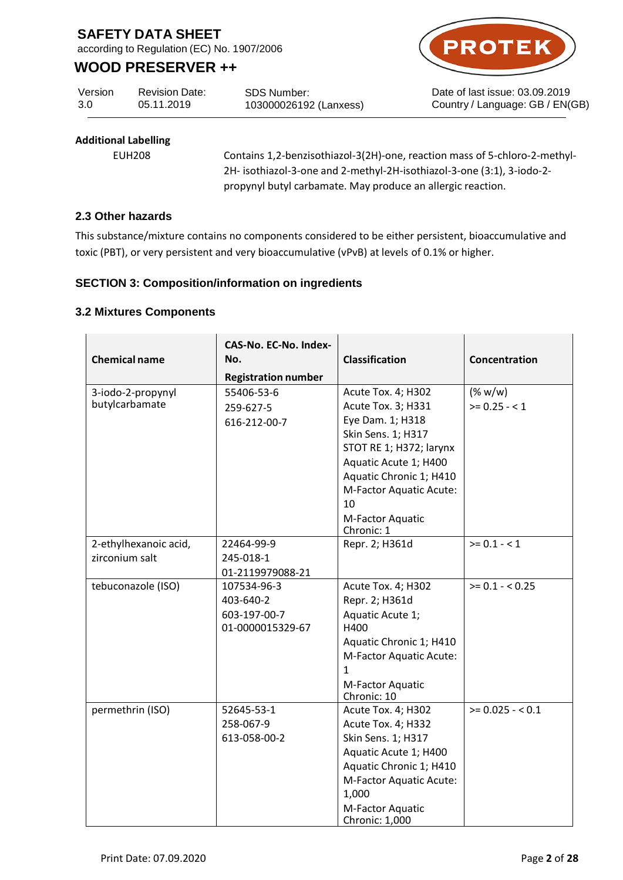according to Regulation (EC) No. 1907/2006

# **WOOD PRESERVER ++**

Version 3.0 Revision Date: 05.11.2019

SDS Number: 103000026192 (Lanxess)



Date of last issue: 03.09.2019 Country / Language: GB / EN(GB)

## **Additional Labelling**

EUH208 Contains 1,2-benzisothiazol-3(2H)-one, reaction mass of 5-chloro-2-methyl-2H- isothiazol-3-one and 2-methyl-2H-isothiazol-3-one (3:1), 3-iodo-2 propynyl butyl carbamate. May produce an allergic reaction.

### **2.3 Other hazards**

This substance/mixture contains no components considered to be either persistent, bioaccumulative and toxic (PBT), or very persistent and very bioaccumulative (vPvB) at levels of 0.1% or higher.

## **SECTION 3: Composition/information on ingredients**

### **3.2 Mixtures Components**

| <b>Chemical name</b>                    | CAS-No. EC-No. Index-<br>No.<br><b>Registration number</b>   | <b>Classification</b>                                                                                                                                                                                                  | Concentration            |
|-----------------------------------------|--------------------------------------------------------------|------------------------------------------------------------------------------------------------------------------------------------------------------------------------------------------------------------------------|--------------------------|
| 3-iodo-2-propynyl<br>butylcarbamate     | 55406-53-6<br>259-627-5<br>616-212-00-7                      | Acute Tox. 4; H302<br>Acute Tox. 3; H331<br>Eye Dam. 1; H318<br>Skin Sens. 1; H317<br>STOT RE 1; H372; larynx<br>Aquatic Acute 1; H400<br>Aquatic Chronic 1; H410<br>M-Factor Aquatic Acute:<br>10<br>M-Factor Aquatic | (% w/w)<br>$>= 0.25 - 1$ |
| 2-ethylhexanoic acid,<br>zirconium salt | 22464-99-9<br>245-018-1<br>01-2119979088-21                  | Chronic: 1<br>Repr. 2; H361d                                                                                                                                                                                           | $>= 0.1 - 1$             |
| tebuconazole (ISO)                      | 107534-96-3<br>403-640-2<br>603-197-00-7<br>01-0000015329-67 | Acute Tox. 4; H302<br>Repr. 2; H361d<br>Aquatic Acute 1;<br>H400<br>Aquatic Chronic 1; H410<br>M-Factor Aquatic Acute:<br>1<br>M-Factor Aquatic<br>Chronic: 10                                                         | $>= 0.1 - 0.25$          |
| permethrin (ISO)                        | 52645-53-1<br>258-067-9<br>613-058-00-2                      | Acute Tox. 4; H302<br>Acute Tox. 4; H332<br>Skin Sens. 1; H317<br>Aquatic Acute 1; H400<br>Aquatic Chronic 1; H410<br>M-Factor Aquatic Acute:<br>1,000<br>M-Factor Aquatic<br>Chronic: 1,000                           | $>= 0.025 - 0.1$         |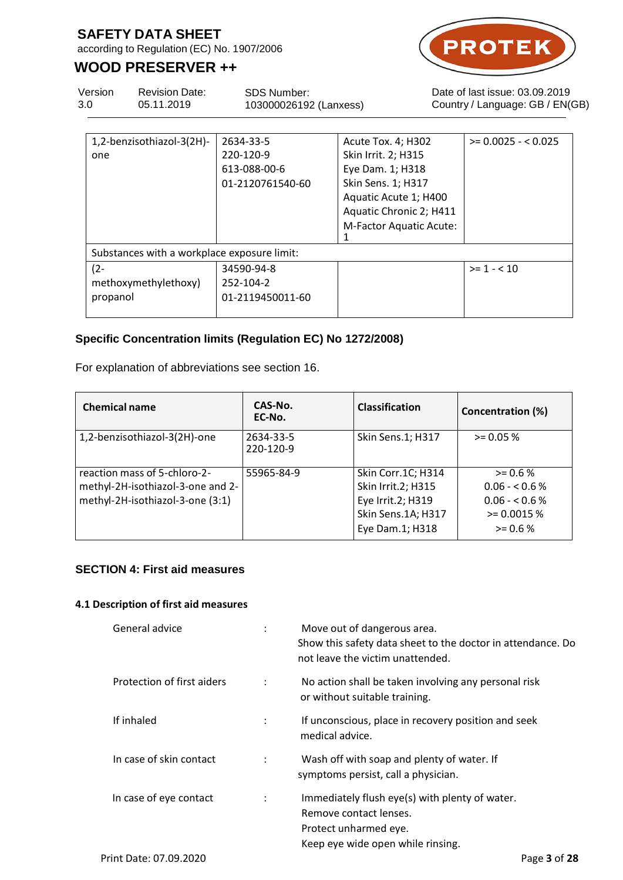according to Regulation (EC) No. 1907/2006

# **WOOD PRESERVER ++**



Version 3.0 Revision Date: 05.11.2019 SDS Number: 103000026192 (Lanxess) Date of last issue: 03.09.2019 Country / Language: GB / EN(GB)

| 1,2-benzisothiazol-3(2H)-                   | 2634-33-5        | Acute Tox. 4; H302      | $>= 0.0025 - 0.025$ |
|---------------------------------------------|------------------|-------------------------|---------------------|
| one                                         | 220-120-9        | Skin Irrit. 2; H315     |                     |
|                                             | 613-088-00-6     | Eye Dam. 1; H318        |                     |
|                                             | 01-2120761540-60 | Skin Sens. 1; H317      |                     |
|                                             |                  | Aquatic Acute 1; H400   |                     |
|                                             |                  | Aquatic Chronic 2; H411 |                     |
|                                             |                  | M-Factor Aquatic Acute: |                     |
|                                             |                  |                         |                     |
| Substances with a workplace exposure limit: |                  |                         |                     |
| $(2 -$                                      | 34590-94-8       |                         | $>= 1 - 10$         |
| methoxymethylethoxy)                        | 252-104-2        |                         |                     |
| propanol                                    | 01-2119450011-60 |                         |                     |
|                                             |                  |                         |                     |

## **Specific Concentration limits (Regulation EC) No 1272/2008)**

For explanation of abbreviations see section 16.

| <b>Chemical name</b>                                                                                  | CAS-No.<br>EC-No.      | <b>Classification</b>                                                                                  | <b>Concentration (%)</b>                                                         |
|-------------------------------------------------------------------------------------------------------|------------------------|--------------------------------------------------------------------------------------------------------|----------------------------------------------------------------------------------|
| 1,2-benzisothiazol-3(2H)-one                                                                          | 2634-33-5<br>220-120-9 | Skin Sens.1; H317                                                                                      | $> = 0.05 %$                                                                     |
| reaction mass of 5-chloro-2-<br>methyl-2H-isothiazol-3-one and 2-<br>methyl-2H-isothiazol-3-one (3:1) | 55965-84-9             | Skin Corr.1C; H314<br>Skin Irrit.2; H315<br>Eye Irrit.2; H319<br>Skin Sens.1A; H317<br>Eye Dam.1; H318 | $> = 0.6 %$<br>$0.06 - 0.6 %$<br>$0.06 - 0.6 %$<br>$> = 0.0015 %$<br>$> = 0.6 %$ |

## **SECTION 4: First aid measures**

### **4.1 Description of first aid measures**

| General advice             | $\ddot{\phantom{a}}$ | Move out of dangerous area.<br>Show this safety data sheet to the doctor in attendance. Do<br>not leave the victim unattended.         |
|----------------------------|----------------------|----------------------------------------------------------------------------------------------------------------------------------------|
| Protection of first aiders | ÷                    | No action shall be taken involving any personal risk<br>or without suitable training.                                                  |
| If inhaled                 | $\ddot{\phantom{a}}$ | If unconscious, place in recovery position and seek<br>medical advice.                                                                 |
| In case of skin contact    |                      | Wash off with soap and plenty of water. If<br>symptoms persist, call a physician.                                                      |
| In case of eye contact     | ÷                    | Immediately flush eye(s) with plenty of water.<br>Remove contact lenses.<br>Protect unharmed eye.<br>Keep eye wide open while rinsing. |
| Print Date: 07.09.2020     |                      | Page 3 of 28                                                                                                                           |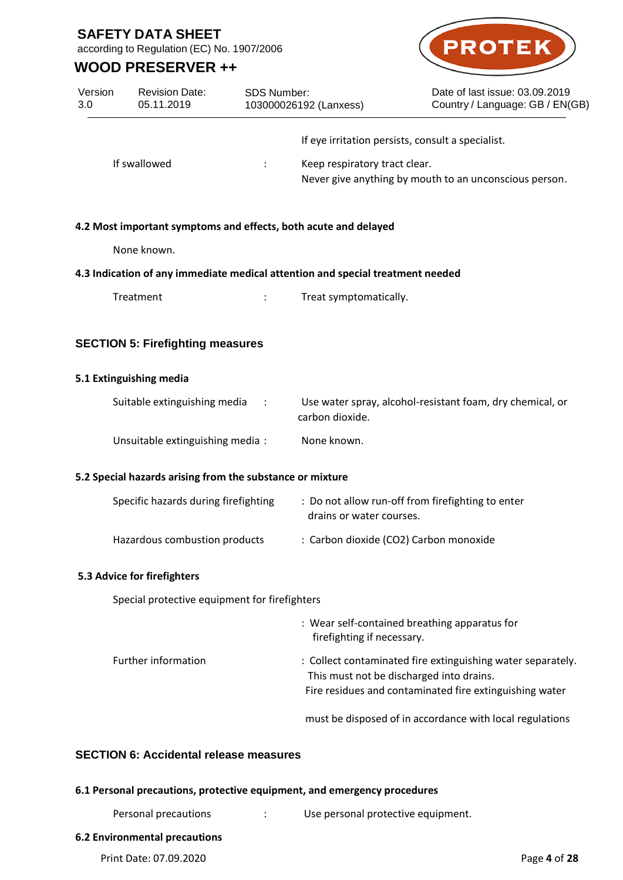according to Regulation (EC) No. 1907/2006

# **WOOD PRESERVER ++**



| Version<br>3.0 | <b>Revision Date:</b><br>05.11.2019                       | <b>SDS Number:</b>   | 103000026192 (Lanxess)                                                         | Date of last issue: 03.09.2019<br>Country / Language: GB / EN(GB)                                                                                                  |
|----------------|-----------------------------------------------------------|----------------------|--------------------------------------------------------------------------------|--------------------------------------------------------------------------------------------------------------------------------------------------------------------|
|                |                                                           |                      |                                                                                | If eye irritation persists, consult a specialist.                                                                                                                  |
|                | If swallowed                                              |                      | Keep respiratory tract clear.                                                  | Never give anything by mouth to an unconscious person.                                                                                                             |
|                |                                                           |                      | 4.2 Most important symptoms and effects, both acute and delayed                |                                                                                                                                                                    |
|                | None known.                                               |                      |                                                                                |                                                                                                                                                                    |
|                |                                                           |                      | 4.3 Indication of any immediate medical attention and special treatment needed |                                                                                                                                                                    |
|                | Treatment                                                 |                      | Treat symptomatically.                                                         |                                                                                                                                                                    |
|                | <b>SECTION 5: Firefighting measures</b>                   |                      |                                                                                |                                                                                                                                                                    |
|                | 5.1 Extinguishing media                                   |                      |                                                                                |                                                                                                                                                                    |
|                | Suitable extinguishing media                              |                      | carbon dioxide.                                                                | Use water spray, alcohol-resistant foam, dry chemical, or                                                                                                          |
|                | Unsuitable extinguishing media:                           |                      | None known.                                                                    |                                                                                                                                                                    |
|                | 5.2 Special hazards arising from the substance or mixture |                      |                                                                                |                                                                                                                                                                    |
|                | Specific hazards during firefighting                      |                      | drains or water courses.                                                       | : Do not allow run-off from firefighting to enter                                                                                                                  |
|                | Hazardous combustion products                             |                      |                                                                                | : Carbon dioxide (CO2) Carbon monoxide                                                                                                                             |
|                | 5.3 Advice for firefighters                               |                      |                                                                                |                                                                                                                                                                    |
|                | Special protective equipment for firefighters             |                      |                                                                                |                                                                                                                                                                    |
|                |                                                           |                      | firefighting if necessary.                                                     | : Wear self-contained breathing apparatus for                                                                                                                      |
|                | Further information                                       |                      |                                                                                | : Collect contaminated fire extinguishing water separately.<br>This must not be discharged into drains.<br>Fire residues and contaminated fire extinguishing water |
|                |                                                           |                      |                                                                                | must be disposed of in accordance with local regulations                                                                                                           |
|                | <b>SECTION 6: Accidental release measures</b>             |                      |                                                                                |                                                                                                                                                                    |
|                |                                                           |                      | 6.1 Personal precautions, protective equipment, and emergency procedures       |                                                                                                                                                                    |
|                | Personal precautions                                      | $\ddot{\phantom{0}}$ | Use personal protective equipment.                                             |                                                                                                                                                                    |
|                | <b>6.2 Environmental precautions</b>                      |                      |                                                                                |                                                                                                                                                                    |
|                | Print Date: 07.09.2020                                    |                      |                                                                                | Page 4 of 28                                                                                                                                                       |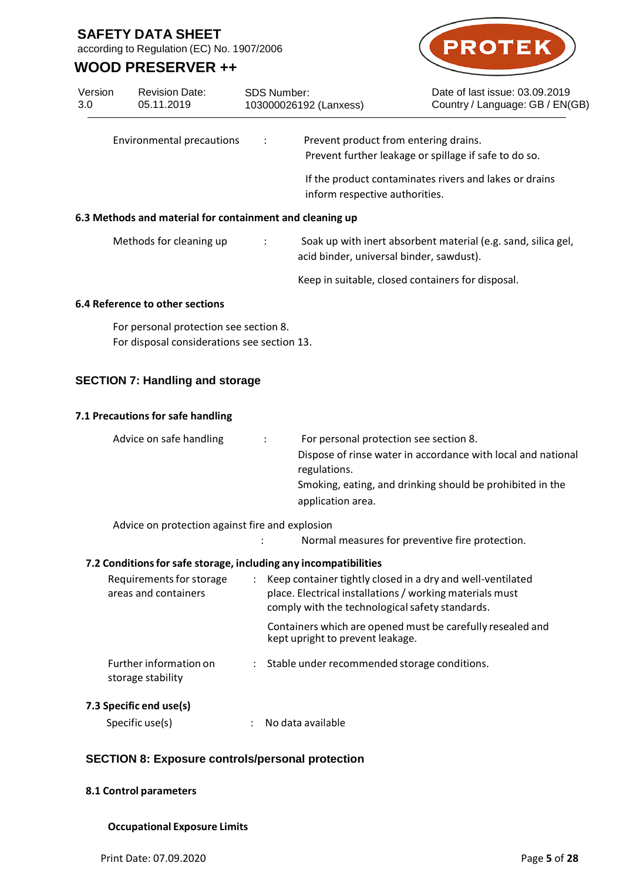according to Regulation (EC) No. 1907/2006

Revision Date:

## **WOOD PRESERVER ++**

Version



Date of last issue: 03.09.2019 Country / Language: GB / EN(GB)

| 3.0 | 05.11.2019                                               | 103000026192 (Lanxess) |                                       | Country / Language: GB / EN(G                          |
|-----|----------------------------------------------------------|------------------------|---------------------------------------|--------------------------------------------------------|
|     | Environmental precautions                                | $\ddot{\cdot}$         | Prevent product from entering drains. | Prevent further leakage or spillage if safe to do so.  |
|     |                                                          |                        | inform respective authorities.        | If the product contaminates rivers and lakes or drains |
|     | 6.3 Methods and material for containment and cleaning up |                        |                                       |                                                        |

SDS Number:

# Methods for cleaning up : Soak up with inert absorbent material (e.g. sand, silica gel, acid binder, universal binder, sawdust).

Keep in suitable, closed containers for disposal.

## **6.4 Reference to other sections**

For personal protection see section 8. For disposal considerations see section 13.

## **SECTION 7: Handling and storage**

### **7.1 Precautions for safe handling**

| Advice on safe handling | $\mathcal{L}$ | For personal protection see section 8.                       |
|-------------------------|---------------|--------------------------------------------------------------|
|                         |               | Dispose of rinse water in accordance with local and national |
|                         |               | regulations.                                                 |
|                         |               | Smoking, eating, and drinking should be prohibited in the    |
|                         |               | application area.                                            |

Advice on protection against fire and explosion

: Normal measures for preventive fire protection.

## **7.2 Conditionsfor safe storage, including any incompatibilities**

| Requirements for storage<br>areas and containers | $\ddot{\phantom{0}}$ | Keep container tightly closed in a dry and well-ventilated<br>place. Electrical installations / working materials must<br>comply with the technological safety standards. |
|--------------------------------------------------|----------------------|---------------------------------------------------------------------------------------------------------------------------------------------------------------------------|
|                                                  |                      | Containers which are opened must be carefully resealed and<br>kept upright to prevent leakage.                                                                            |
| Further information on<br>storage stability      | $\mathcal{L}$        | Stable under recommended storage conditions.                                                                                                                              |

## **7.3 Specific end use(s)**

| No data available |
|-------------------|
|                   |

## **SECTION 8: Exposure controls/personal protection**

### **8.1 Control parameters**

### **Occupational Exposure Limits**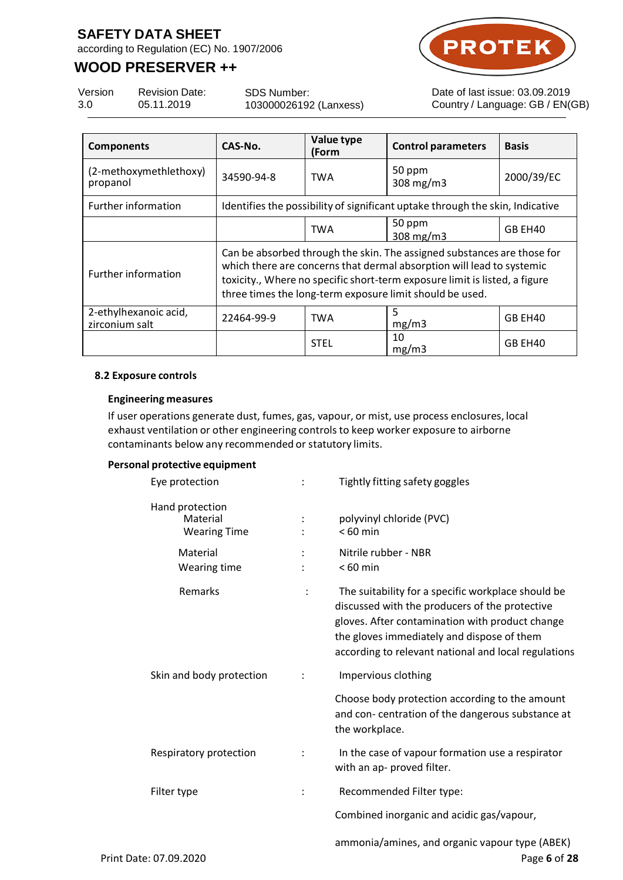according to Regulation (EC) No. 1907/2006

# **WOOD PRESERVER ++**



 $EN(GB)$ 

| Version | <b>Revision Date:</b> | SDS Number:            | Date of last issue: 03.09.2019 |
|---------|-----------------------|------------------------|--------------------------------|
| 3.0     | 05.11.2019            | 103000026192 (Lanxess) | Country / Language: GB / EN(   |

| <b>Components</b>                       | CAS-No.                                                                                                                                                                                                                                                                                    | Value type<br>(Form | <b>Control parameters</b>                                                     | <b>Basis</b> |
|-----------------------------------------|--------------------------------------------------------------------------------------------------------------------------------------------------------------------------------------------------------------------------------------------------------------------------------------------|---------------------|-------------------------------------------------------------------------------|--------------|
| (2-methoxymethlethoxy)<br>propanol      | 34590-94-8                                                                                                                                                                                                                                                                                 | <b>TWA</b>          | 50 ppm<br>308 $mg/m3$                                                         | 2000/39/EC   |
| Further information                     |                                                                                                                                                                                                                                                                                            |                     | Identifies the possibility of significant uptake through the skin, Indicative |              |
|                                         |                                                                                                                                                                                                                                                                                            | <b>TWA</b>          | 50 ppm<br>$308$ mg/m $3$                                                      | GB EH40      |
| <b>Further information</b>              | Can be absorbed through the skin. The assigned substances are those for<br>which there are concerns that dermal absorption will lead to systemic<br>toxicity., Where no specific short-term exposure limit is listed, a figure<br>three times the long-term exposure limit should be used. |                     |                                                                               |              |
| 2-ethylhexanoic acid,<br>zirconium salt | 22464-99-9                                                                                                                                                                                                                                                                                 | <b>TWA</b>          | 5<br>mg/m3                                                                    | GB EH40      |
|                                         |                                                                                                                                                                                                                                                                                            | <b>STEL</b>         | 10<br>mg/m3                                                                   | GB EH40      |

#### **8.2 Exposure controls**

#### **Engineering measures**

If user operations generate dust, fumes, gas, vapour, or mist, use process enclosures, local exhaust ventilation or other engineering controls to keep worker exposure to airborne contaminants below any recommended or statutory limits.

#### **Personal protective equipment**

| Eye protection                                     | $\ddot{\phantom{a}}$ | Tightly fitting safety goggles                                                                                                                                                                                                                                |
|----------------------------------------------------|----------------------|---------------------------------------------------------------------------------------------------------------------------------------------------------------------------------------------------------------------------------------------------------------|
| Hand protection<br>Material<br><b>Wearing Time</b> |                      | polyvinyl chloride (PVC)<br>$< 60$ min                                                                                                                                                                                                                        |
| Material<br>Wearing time                           |                      | Nitrile rubber - NBR<br>$< 60$ min                                                                                                                                                                                                                            |
| Remarks                                            |                      | The suitability for a specific workplace should be<br>discussed with the producers of the protective<br>gloves. After contamination with product change<br>the gloves immediately and dispose of them<br>according to relevant national and local regulations |
| Skin and body protection                           |                      | Impervious clothing                                                                                                                                                                                                                                           |
|                                                    |                      | Choose body protection according to the amount<br>and con-centration of the dangerous substance at<br>the workplace.                                                                                                                                          |
| Respiratory protection                             |                      | In the case of vapour formation use a respirator<br>with an ap- proved filter.                                                                                                                                                                                |
| Filter type                                        |                      | Recommended Filter type:                                                                                                                                                                                                                                      |
|                                                    |                      | Combined inorganic and acidic gas/vapour,                                                                                                                                                                                                                     |
| Print Date: 07.09.2020                             |                      | ammonia/amines, and organic vapour type (ABEK)<br>Page 6 of 28                                                                                                                                                                                                |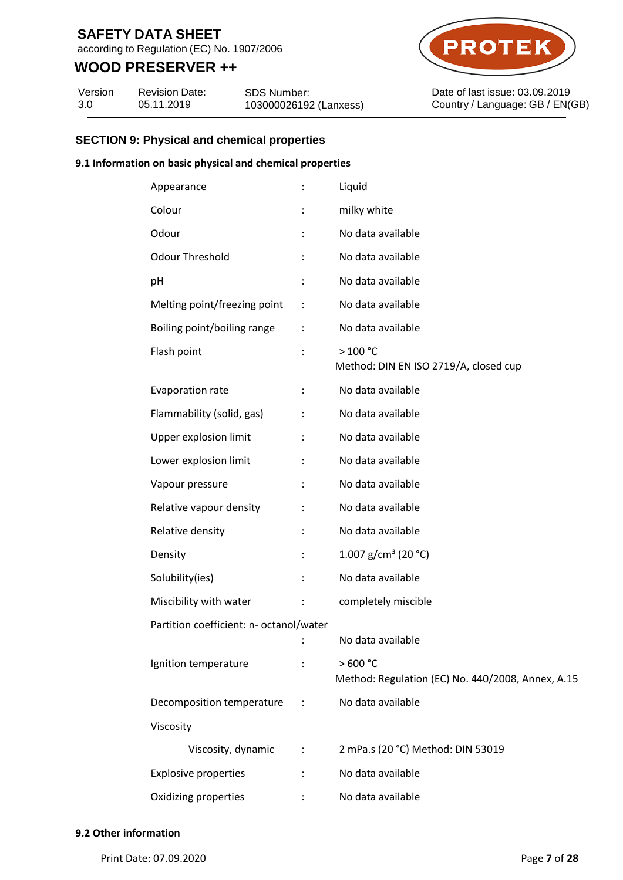according to Regulation (EC) No. 1907/2006

## **WOOD PRESERVER ++**

Version 3.0 Revision Date: 05.11.2019

SDS Number: 103000026192 (Lanxess)



Date of last issue: 03.09.2019 Country / Language: GB / EN(GB)

## **SECTION 9: Physical and chemical properties**

#### **9.1 Information on basic physical and chemical properties**

| Appearance                              |                      | Liquid                                                       |
|-----------------------------------------|----------------------|--------------------------------------------------------------|
| Colour                                  | $\ddot{\phantom{a}}$ | milky white                                                  |
| Odour                                   | $\ddot{\phantom{a}}$ | No data available                                            |
| <b>Odour Threshold</b>                  |                      | No data available                                            |
| рH                                      | ÷                    | No data available                                            |
| Melting point/freezing point            | $\ddot{\phantom{a}}$ | No data available                                            |
| Boiling point/boiling range             | $\ddot{\cdot}$       | No data available                                            |
| Flash point                             | $\ddot{\cdot}$       | >100 °C<br>Method: DIN EN ISO 2719/A, closed cup             |
| Evaporation rate                        | $\ddot{\cdot}$       | No data available                                            |
| Flammability (solid, gas)               | $\ddot{\phantom{a}}$ | No data available                                            |
| Upper explosion limit                   | $\ddot{\phantom{a}}$ | No data available                                            |
| Lower explosion limit                   | $\ddot{\phantom{a}}$ | No data available                                            |
| Vapour pressure                         | $\ddot{\cdot}$       | No data available                                            |
| Relative vapour density                 | ÷                    | No data available                                            |
| Relative density                        | ÷                    | No data available                                            |
| Density                                 | ÷                    | 1.007 g/cm <sup>3</sup> (20 °C)                              |
| Solubility(ies)                         | ÷                    | No data available                                            |
| Miscibility with water                  | ÷                    | completely miscible                                          |
| Partition coefficient: n- octanol/water |                      |                                                              |
|                                         |                      | No data available                                            |
| Ignition temperature                    |                      | >600 °C<br>Method: Regulation (EC) No. 440/2008, Annex, A.15 |
| Decomposition temperature               | $\ddot{\phantom{0}}$ | No data available                                            |
| Viscosity                               |                      |                                                              |
| Viscosity, dynamic :                    |                      | 2 mPa.s (20 °C) Method: DIN 53019                            |
| <b>Explosive properties</b>             | $\ddot{\phantom{0}}$ | No data available                                            |
| Oxidizing properties                    |                      | No data available                                            |

Print Date: 07.09.2020 Page **7** of **28**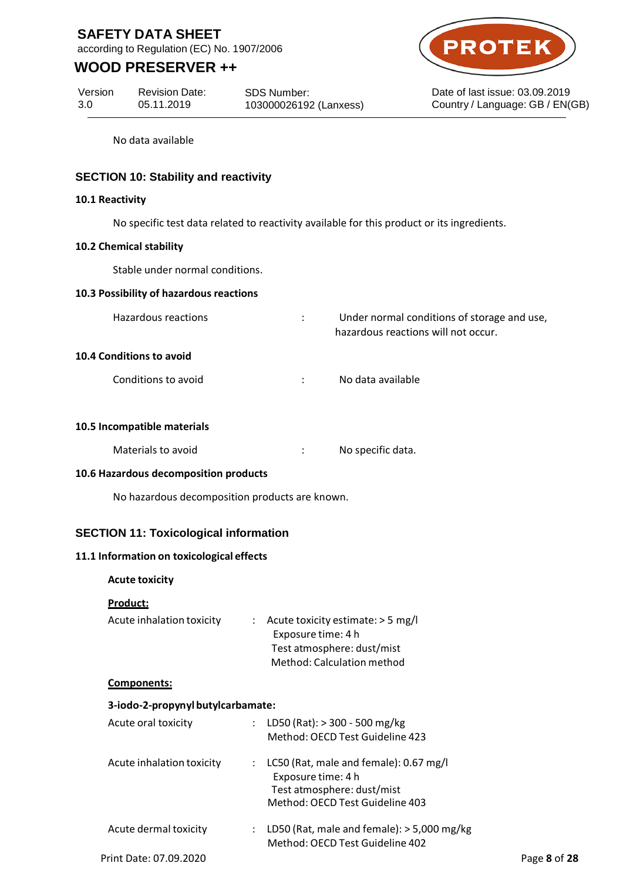according to Regulation (EC) No. 1907/2006

# **WOOD PRESERVER ++**



Date of last issue: 03.09.2019 Country / Language: GB / EN(GB)

Version 3.0 Revision Date: 05.11.2019

SDS Number: 103000026192 (Lanxess)

No data available

## **SECTION 10: Stability and reactivity**

### **10.1 Reactivity**

No specific test data related to reactivity available for this product or its ingredients.

#### **10.2 Chemical stability**

Stable under normal conditions.

### **10.3 Possibility of hazardous reactions**

| Hazardous reactions | Under normal conditions of storage and use, |
|---------------------|---------------------------------------------|
|                     | hazardous reactions will not occur.         |

### **10.4 Conditions to avoid**

Conditions to avoid in the set of the South Conditions to avoid

#### **10.5 Incompatible materials**

| Materials to avoid | No specific data. |
|--------------------|-------------------|
|                    |                   |

### **10.6 Hazardous decomposition products**

No hazardous decomposition products are known.

### **SECTION 11: Toxicological information**

### **11.1 Information on toxicological effects**

### **Acute toxicity**

### **Product:**

| Acute inhalation toxicity | : Acute toxicity estimate: $>$ 5 mg/l |
|---------------------------|---------------------------------------|
|                           | Exposure time: 4 h                    |
|                           | Test atmosphere: dust/mist            |
|                           | Method: Calculation method            |
|                           |                                       |

#### **Components:**

### **3-iodo-2-propynyl butylcarbamate:**

| Acute oral toxicity       | LD50 (Rat): > 300 - 500 mg/kg<br>Method: OECD Test Guideline 423                                                              |              |
|---------------------------|-------------------------------------------------------------------------------------------------------------------------------|--------------|
| Acute inhalation toxicity | LC50 (Rat, male and female): 0.67 mg/l<br>Exposure time: 4 h<br>Test atmosphere: dust/mist<br>Method: OECD Test Guideline 403 |              |
| Acute dermal toxicity     | LD50 (Rat, male and female): $>$ 5,000 mg/kg<br>Method: OECD Test Guideline 402                                               |              |
| Print Date: 07.09.2020    |                                                                                                                               | Page 8 of 28 |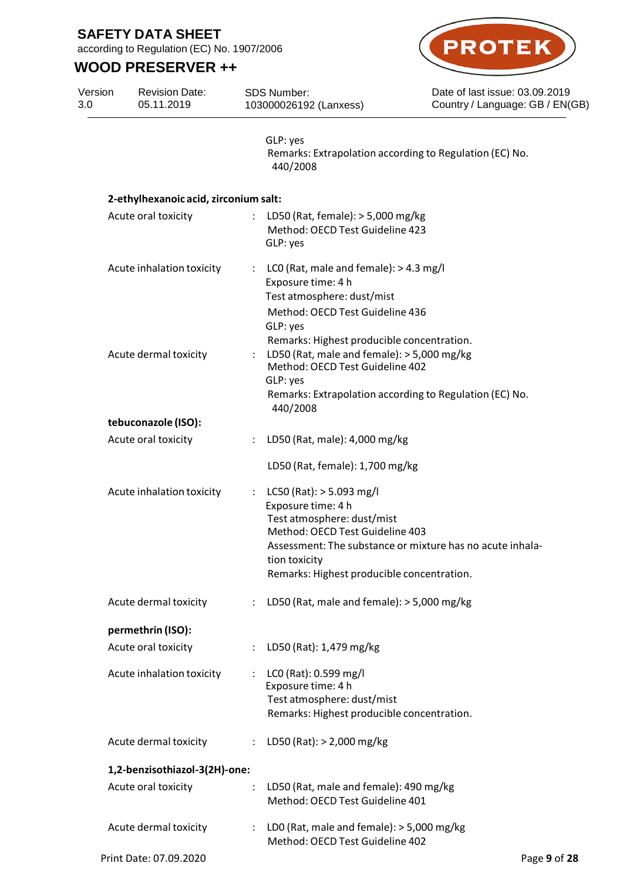according to Regulation (EC) No. 1907/2006

# **WOOD PRESERVER ++**



Date of last issue: 03.09.2019 Country / Language: GB / EN(GB)

Version 3.0 Revision Date: 05.11.2019 SDS Number: 103000026192 (Lanxess)

> GLP: yes Remarks: Extrapolation according to Regulation (EC) No. 440/2008

## **2-ethylhexanoic acid, zirconium salt:**

| Acute oral toxicity           |                      | LD50 (Rat, female): $>$ 5,000 mg/kg<br>Method: OECD Test Guideline 423<br>GLP: yes                                                                                                                                                            |
|-------------------------------|----------------------|-----------------------------------------------------------------------------------------------------------------------------------------------------------------------------------------------------------------------------------------------|
| Acute inhalation toxicity     | ÷                    | LCO (Rat, male and female): > 4.3 mg/l<br>Exposure time: 4 h<br>Test atmosphere: dust/mist<br>Method: OECD Test Guideline 436<br>GLP: yes                                                                                                     |
| Acute dermal toxicity         |                      | Remarks: Highest producible concentration.<br>LD50 (Rat, male and female): > 5,000 mg/kg<br>Method: OECD Test Guideline 402<br>GLP: yes<br>Remarks: Extrapolation according to Regulation (EC) No.<br>440/2008                                |
| tebuconazole (ISO):           |                      |                                                                                                                                                                                                                                               |
| Acute oral toxicity           |                      | LD50 (Rat, male): 4,000 mg/kg                                                                                                                                                                                                                 |
|                               |                      | LD50 (Rat, female): 1,700 mg/kg                                                                                                                                                                                                               |
| Acute inhalation toxicity     | ÷                    | LC50 (Rat): $>$ 5.093 mg/l<br>Exposure time: 4 h<br>Test atmosphere: dust/mist<br>Method: OECD Test Guideline 403<br>Assessment: The substance or mixture has no acute inhala-<br>tion toxicity<br>Remarks: Highest producible concentration. |
| Acute dermal toxicity         | $\ddot{\phantom{0}}$ | LD50 (Rat, male and female): > 5,000 mg/kg                                                                                                                                                                                                    |
| permethrin (ISO):             |                      |                                                                                                                                                                                                                                               |
| Acute oral toxicity           |                      | LD50 (Rat): 1,479 mg/kg                                                                                                                                                                                                                       |
| Acute inhalation toxicity     |                      | LC0 (Rat): 0.599 mg/l<br>Exposure time: 4 h<br>Test atmosphere: dust/mist<br>Remarks: Highest producible concentration.                                                                                                                       |
| Acute dermal toxicity         | $\ddot{\cdot}$       | LD50 (Rat): > 2,000 mg/kg                                                                                                                                                                                                                     |
| 1,2-benzisothiazol-3(2H)-one: |                      |                                                                                                                                                                                                                                               |
| Acute oral toxicity           |                      | LD50 (Rat, male and female): 490 mg/kg<br>Method: OECD Test Guideline 401                                                                                                                                                                     |
| Acute dermal toxicity         |                      | LD0 (Rat, male and female): $>$ 5,000 mg/kg<br>Method: OECD Test Guideline 402                                                                                                                                                                |
| Print Date: 07.09.2020        |                      | Page 9 of 28                                                                                                                                                                                                                                  |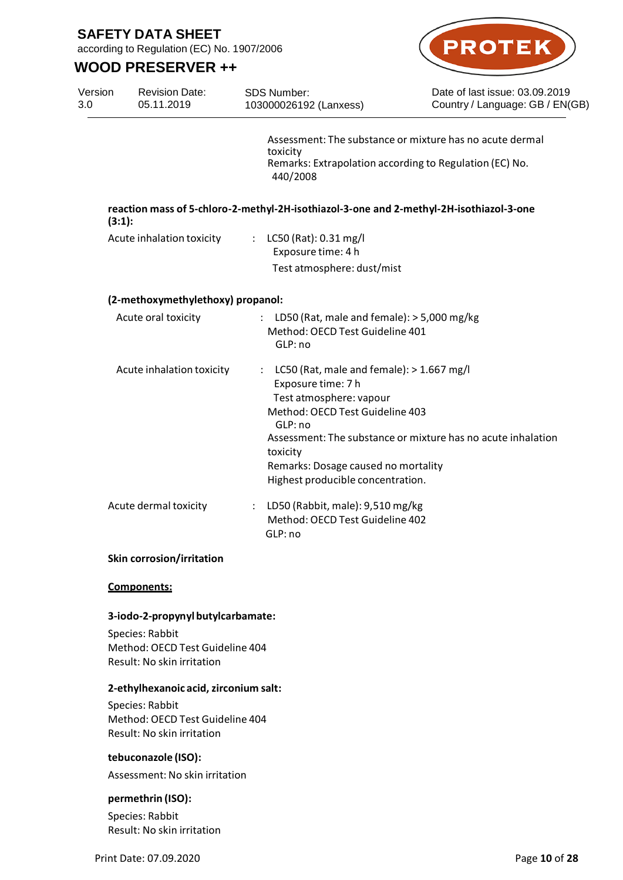according to Regulation (EC) No. 1907/2006



|                | <b>WOOD PRESERVER ++</b>                                                         |                                                                                                                                                                                                                                      |                                                                                                                     |
|----------------|----------------------------------------------------------------------------------|--------------------------------------------------------------------------------------------------------------------------------------------------------------------------------------------------------------------------------------|---------------------------------------------------------------------------------------------------------------------|
| Version<br>3.0 | <b>Revision Date:</b><br>05.11.2019                                              | <b>SDS Number:</b><br>103000026192 (Lanxess)                                                                                                                                                                                         | Date of last issue: 03.09.2019<br>Country / Language: GB / EN(GB)                                                   |
|                |                                                                                  | toxicity<br>440/2008                                                                                                                                                                                                                 | Assessment: The substance or mixture has no acute dermal<br>Remarks: Extrapolation according to Regulation (EC) No. |
| (3:1):         |                                                                                  |                                                                                                                                                                                                                                      | reaction mass of 5-chloro-2-methyl-2H-isothiazol-3-one and 2-methyl-2H-isothiazol-3-one                             |
|                | Acute inhalation toxicity                                                        | : LC50 (Rat): 0.31 mg/l<br>Exposure time: 4 h<br>Test atmosphere: dust/mist                                                                                                                                                          |                                                                                                                     |
|                | (2-methoxymethylethoxy) propanol:                                                |                                                                                                                                                                                                                                      |                                                                                                                     |
|                | Acute oral toxicity                                                              | : LD50 (Rat, male and female): $>$ 5,000 mg/kg<br>Method: OECD Test Guideline 401<br>GLP: no                                                                                                                                         |                                                                                                                     |
|                | Acute inhalation toxicity                                                        | : LC50 (Rat, male and female): $> 1.667$ mg/l<br>Exposure time: 7 h<br>Test atmosphere: vapour<br>Method: OECD Test Guideline 403<br>GLP: no<br>toxicity<br>Remarks: Dosage caused no mortality<br>Highest producible concentration. | Assessment: The substance or mixture has no acute inhalation                                                        |
|                | Acute dermal toxicity                                                            | LD50 (Rabbit, male): 9,510 mg/kg<br>÷<br>Method: OECD Test Guideline 402<br>GLP: no                                                                                                                                                  |                                                                                                                     |
|                | <b>Skin corrosion/irritation</b>                                                 |                                                                                                                                                                                                                                      |                                                                                                                     |
|                | Components:                                                                      |                                                                                                                                                                                                                                      |                                                                                                                     |
|                | 3-iodo-2-propynyl butylcarbamate:                                                |                                                                                                                                                                                                                                      |                                                                                                                     |
|                | Species: Rabbit<br>Method: OECD Test Guideline 404<br>Result: No skin irritation |                                                                                                                                                                                                                                      |                                                                                                                     |

#### **2-ethylhexanoic acid, zirconium salt:**

Species: Rabbit Method: OECD Test Guideline 404 Result: No skin irritation

## **tebuconazole (ISO):**

Assessment: No skin irritation

### **permethrin (ISO):**

Species: Rabbit Result: No skin irritation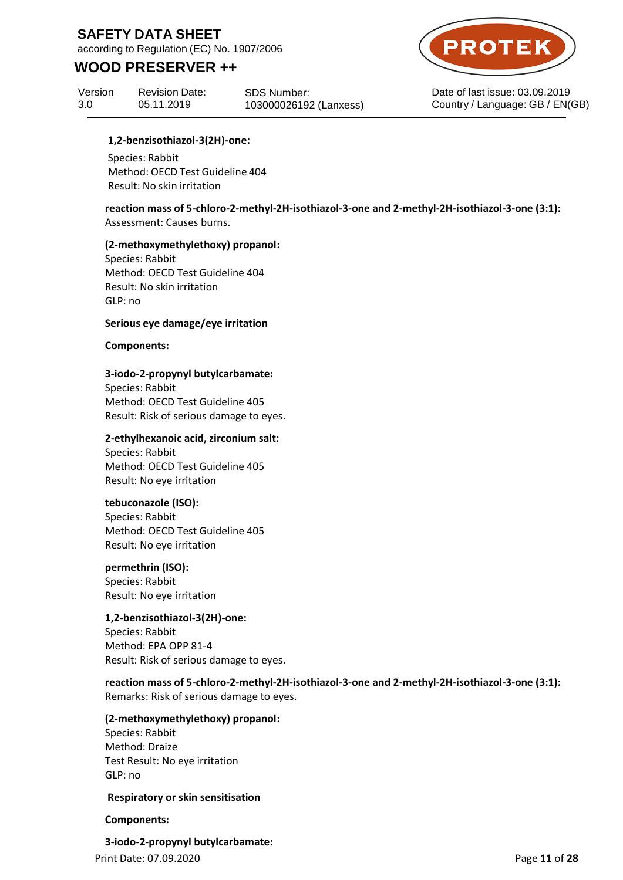according to Regulation (EC) No. 1907/2006

## **WOOD PRESERVER ++**

Version 3.0 Revision Date: 05.11.2019

SDS Number: 103000026192 (Lanxess)



Date of last issue: 03.09.2019 Country / Language: GB / EN(GB)

### **1,2-benzisothiazol-3(2H)-one:**

Species: Rabbit Method: OECD Test Guideline 404 Result: No skin irritation

**reaction mass of 5-chloro-2-methyl-2H-isothiazol-3-one and 2-methyl-2H-isothiazol-3-one (3:1):** Assessment: Causes burns.

#### **(2-methoxymethylethoxy) propanol:**

Species: Rabbit Method: OECD Test Guideline 404 Result: No skin irritation GLP: no

#### **Serious eye damage/eye irritation**

#### **Components:**

### **3-iodo-2-propynyl butylcarbamate:**

Species: Rabbit Method: OECD Test Guideline 405 Result: Risk of serious damage to eyes.

### **2-ethylhexanoic acid, zirconium salt:**

Species: Rabbit Method: OECD Test Guideline 405 Result: No eye irritation

#### **tebuconazole (ISO):**

Species: Rabbit Method: OECD Test Guideline 405 Result: No eye irritation

### **permethrin (ISO):**

Species: Rabbit Result: No eye irritation

### **1,2-benzisothiazol-3(2H)-one:**

Species: Rabbit Method: EPA OPP 81-4 Result: Risk of serious damage to eyes.

**reaction mass of 5-chloro-2-methyl-2H-isothiazol-3-one and 2-methyl-2H-isothiazol-3-one (3:1):** Remarks: Risk of serious damage to eyes.

#### **(2-methoxymethylethoxy) propanol:**

Species: Rabbit Method: Draize Test Result: No eye irritation GLP: no

#### **Respiratory or skin sensitisation**

### **Components:**

Print Date: 07.09.2020 Page **11** of **28 3-iodo-2-propynyl butylcarbamate:**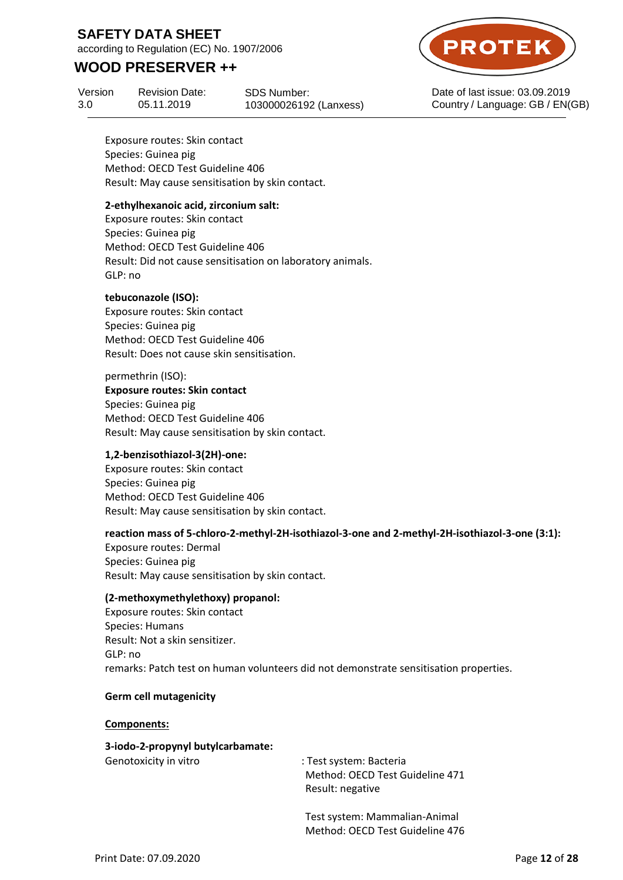according to Regulation (EC) No. 1907/2006

## **WOOD PRESERVER ++**

Version 3.0 Revision Date: 05.11.2019

SDS Number: 103000026192 (Lanxess)



Date of last issue: 03.09.2019 Country / Language: GB / EN(GB)

Exposure routes: Skin contact Species: Guinea pig Method: OECD Test Guideline 406 Result: May cause sensitisation by skin contact.

### **2-ethylhexanoic acid, zirconium salt:**

Exposure routes: Skin contact Species: Guinea pig Method: OECD Test Guideline 406 Result: Did not cause sensitisation on laboratory animals. GLP: no

### **tebuconazole (ISO):**

Exposure routes: Skin contact Species: Guinea pig Method: OECD Test Guideline 406 Result: Does not cause skin sensitisation.

permethrin (ISO):

**Exposure routes: Skin contact** Species: Guinea pig Method: OECD Test Guideline 406 Result: May cause sensitisation by skin contact.

### **1,2-benzisothiazol-3(2H)-one:**

Exposure routes: Skin contact Species: Guinea pig Method: OECD Test Guideline 406 Result: May cause sensitisation by skin contact.

### **reaction mass of 5-chloro-2-methyl-2H-isothiazol-3-one and 2-methyl-2H-isothiazol-3-one (3:1):**

Exposure routes: Dermal Species: Guinea pig Result: May cause sensitisation by skin contact.

### **(2-methoxymethylethoxy) propanol:**

Exposure routes: Skin contact Species: Humans Result: Not a skin sensitizer. GLP: no remarks: Patch test on human volunteers did not demonstrate sensitisation properties.

### **Germ cell mutagenicity**

**Components:**

# **3-iodo-2-propynyl butylcarbamate:**

Genotoxicity in vitro : Test system: Bacteria Method: OECD Test Guideline 471 Result: negative

> Test system: Mammalian-Animal Method: OECD Test Guideline 476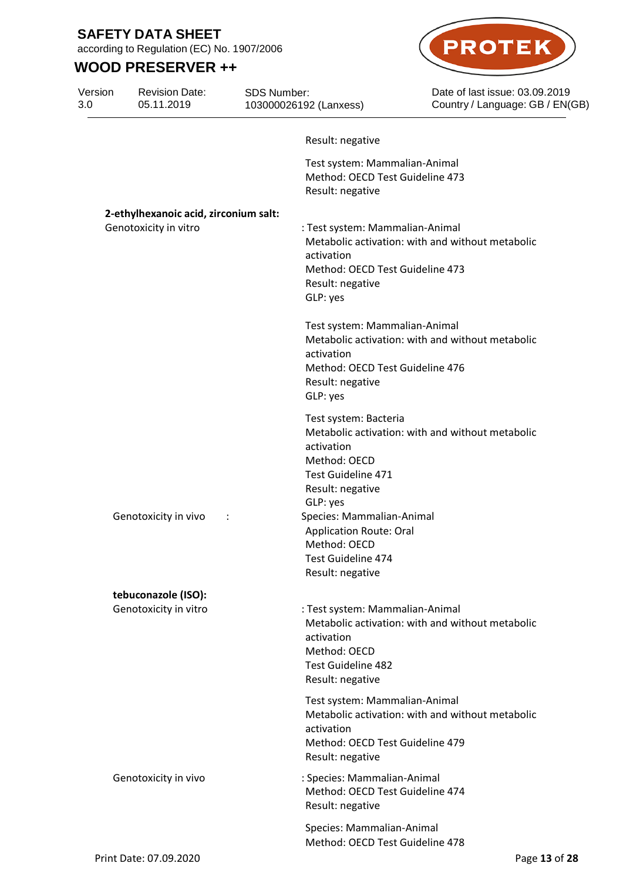Version 3.0

according to Regulation (EC) No. 1907/2006

Revision Date: 05.11.2019

SDS Number:

103000026192 (Lanxess)

# **WOOD PRESERVER ++**



Date of last issue: 03.09.2019 Country / Language: GB / EN(GB)

|                                       | Result: negative                                                                                                                                                     |
|---------------------------------------|----------------------------------------------------------------------------------------------------------------------------------------------------------------------|
|                                       | Test system: Mammalian-Animal<br>Method: OECD Test Guideline 473<br>Result: negative                                                                                 |
| 2-ethylhexanoic acid, zirconium salt: |                                                                                                                                                                      |
| Genotoxicity in vitro                 | : Test system: Mammalian-Animal<br>Metabolic activation: with and without metabolic<br>activation<br>Method: OECD Test Guideline 473<br>Result: negative<br>GLP: yes |
|                                       | Test system: Mammalian-Animal<br>Metabolic activation: with and without metabolic<br>activation<br>Method: OECD Test Guideline 476<br>Result: negative<br>GLP: yes   |
|                                       | Test system: Bacteria<br>Metabolic activation: with and without metabolic<br>activation<br>Method: OECD<br>Test Guideline 471<br>Result: negative                    |
| Genotoxicity in vivo                  | GLP: yes<br>Species: Mammalian-Animal<br><b>Application Route: Oral</b><br>Method: OECD<br><b>Test Guideline 474</b><br>Result: negative                             |
| tebuconazole (ISO):                   |                                                                                                                                                                      |
| Genotoxicity in vitro                 | : Test system: Mammalian-Animal<br>Metabolic activation: with and without metabolic<br>activation<br>Method: OECD<br><b>Test Guideline 482</b><br>Result: negative   |
|                                       | Test system: Mammalian-Animal<br>Metabolic activation: with and without metabolic<br>activation<br>Method: OECD Test Guideline 479<br>Result: negative               |
| Genotoxicity in vivo                  | : Species: Mammalian-Animal<br>Method: OECD Test Guideline 474<br>Result: negative                                                                                   |
|                                       | Species: Mammalian-Animal<br>Method: OECD Test Guideline 478                                                                                                         |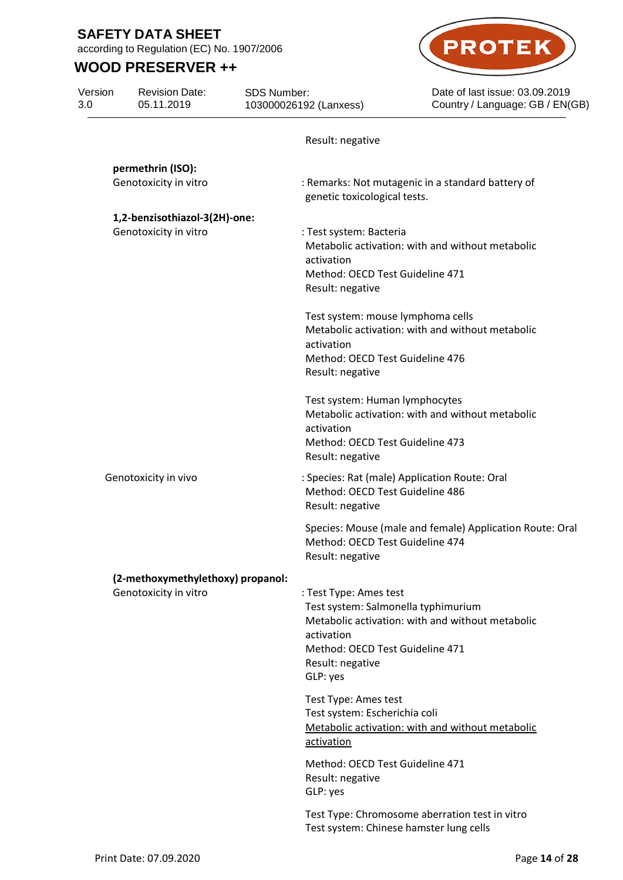according to Regulation (EC) No. 1907/2006

# **WOOD PRESERVER ++**



| Version<br>3.0 | <b>Revision Date:</b><br>05.11.2019                        | SDS Number:<br>103000026192 (Lanxess)                                                                   | Date of last issue: 03.09.2019<br>Country / Language: GB / EN(GB)                         |
|----------------|------------------------------------------------------------|---------------------------------------------------------------------------------------------------------|-------------------------------------------------------------------------------------------|
|                |                                                            | Result: negative                                                                                        |                                                                                           |
|                | permethrin (ISO):                                          |                                                                                                         |                                                                                           |
|                | Genotoxicity in vitro                                      | genetic toxicological tests.                                                                            | : Remarks: Not mutagenic in a standard battery of                                         |
|                | 1,2-benzisothiazol-3(2H)-one:                              |                                                                                                         |                                                                                           |
|                | Genotoxicity in vitro                                      | : Test system: Bacteria<br>activation<br>Method: OECD Test Guideline 471<br>Result: negative            | Metabolic activation: with and without metabolic                                          |
|                |                                                            | Test system: mouse lymphoma cells<br>activation<br>Method: OECD Test Guideline 476<br>Result: negative  | Metabolic activation: with and without metabolic                                          |
|                |                                                            | Test system: Human lymphocytes<br>activation<br>Method: OECD Test Guideline 473<br>Result: negative     | Metabolic activation: with and without metabolic                                          |
|                | Genotoxicity in vivo                                       | Method: OECD Test Guideline 486<br>Result: negative                                                     | : Species: Rat (male) Application Route: Oral                                             |
|                |                                                            | Method: OECD Test Guideline 474<br>Result: negative                                                     | Species: Mouse (male and female) Application Route: Oral                                  |
|                | (2-methoxymethylethoxy) propanol:<br>Genotoxicity in vitro | : Test Type: Ames test<br>activation<br>Method: OECD Test Guideline 471<br>Result: negative<br>GLP: yes | Test system: Salmonella typhimurium<br>Metabolic activation: with and without metabolic   |
|                |                                                            | Test Type: Ames test<br>Test system: Escherichia coli<br>activation                                     | Metabolic activation: with and without metabolic                                          |
|                |                                                            | Method: OECD Test Guideline 471<br>Result: negative<br>GLP: yes                                         |                                                                                           |
|                |                                                            |                                                                                                         | Test Type: Chromosome aberration test in vitro<br>Test system: Chinese hamster lung cells |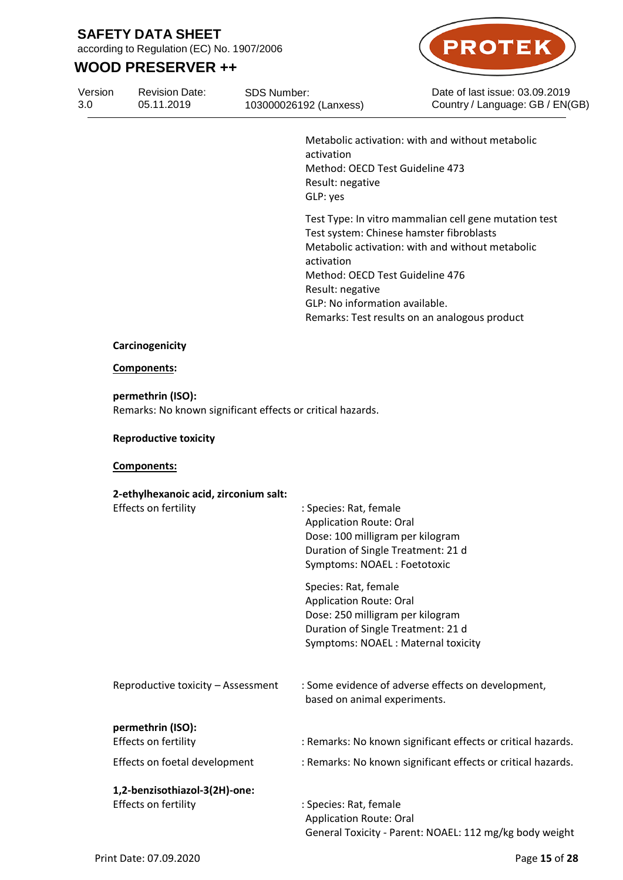according to Regulation (EC) No. 1907/2006

# **WOOD PRESERVER ++**

Version 3.0 05.11.2019

Revision Date: SDS Number: 103000026192 (Lanxess)



Date of last issue: 03.09.2019 Country / Language: GB / EN(GB)

Metabolic activation: with and without metabolic activation Method: OECD Test Guideline 473 Result: negative GLP: yes

Test Type: In vitro mammalian cell gene mutation test Test system: Chinese hamster fibroblasts Metabolic activation: with and without metabolic activation Method: OECD Test Guideline 476 Result: negative GLP: No information available. Remarks: Test results on an analogous product

#### **Carcinogenicity**

#### **Components:**

**permethrin (ISO):** Remarks: No known significant effects or critical hazards.

### **Reproductive toxicity**

### **Components:**

| 2-ethylhexanoic acid, zirconium salt:                 |                                                                                                                                                                        |
|-------------------------------------------------------|------------------------------------------------------------------------------------------------------------------------------------------------------------------------|
| Effects on fertility                                  | : Species: Rat, female<br><b>Application Route: Oral</b><br>Dose: 100 milligram per kilogram<br>Duration of Single Treatment: 21 d<br>Symptoms: NOAEL: Foetotoxic      |
|                                                       | Species: Rat, female<br><b>Application Route: Oral</b><br>Dose: 250 milligram per kilogram<br>Duration of Single Treatment: 21 d<br>Symptoms: NOAEL: Maternal toxicity |
| Reproductive toxicity - Assessment                    | : Some evidence of adverse effects on development,<br>based on animal experiments.                                                                                     |
| permethrin (ISO):                                     |                                                                                                                                                                        |
| Effects on fertility                                  | : Remarks: No known significant effects or critical hazards.                                                                                                           |
| Effects on foetal development                         | : Remarks: No known significant effects or critical hazards.                                                                                                           |
| 1,2-benzisothiazol-3(2H)-one:<br>Effects on fertility | : Species: Rat, female<br><b>Application Route: Oral</b><br>General Toxicity - Parent: NOAEL: 112 mg/kg body weight                                                    |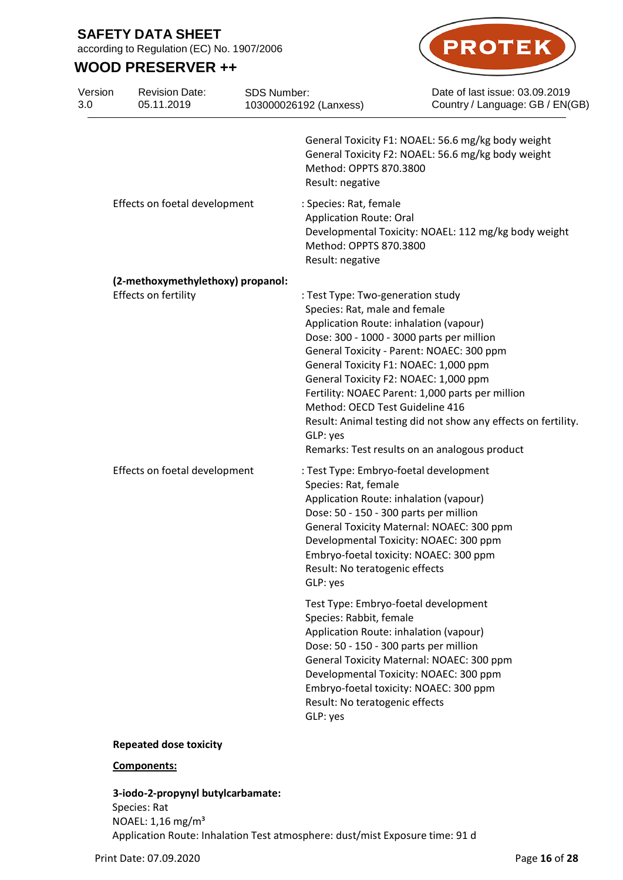according to Regulation (EC) No. 1907/2006

Revision Date:

SDS Number:

## **WOOD PRESERVER ++**

Version



Date of last issue: 03.09.2019 Country / Language: GB / EN(GB)

| 3.0 | 05.11.2019                                                | 103000026192 (Lanxess) |                                                                                                                                                                                                                                                                                                                                         | Country / Language: GB / EN(GE                                                                                                                                     |
|-----|-----------------------------------------------------------|------------------------|-----------------------------------------------------------------------------------------------------------------------------------------------------------------------------------------------------------------------------------------------------------------------------------------------------------------------------------------|--------------------------------------------------------------------------------------------------------------------------------------------------------------------|
|     |                                                           |                        | Method: OPPTS 870.3800<br>Result: negative                                                                                                                                                                                                                                                                                              | General Toxicity F1: NOAEL: 56.6 mg/kg body weight<br>General Toxicity F2: NOAEL: 56.6 mg/kg body weight                                                           |
|     | Effects on foetal development                             |                        | : Species: Rat, female<br><b>Application Route: Oral</b><br>Method: OPPTS 870.3800<br>Result: negative                                                                                                                                                                                                                                  | Developmental Toxicity: NOAEL: 112 mg/kg body weight                                                                                                               |
|     | (2-methoxymethylethoxy) propanol:<br>Effects on fertility |                        | : Test Type: Two-generation study<br>Species: Rat, male and female<br>Application Route: inhalation (vapour)<br>Dose: 300 - 1000 - 3000 parts per million<br>General Toxicity - Parent: NOAEC: 300 ppm<br>General Toxicity F1: NOAEC: 1,000 ppm<br>General Toxicity F2: NOAEC: 1,000 ppm<br>Method: OECD Test Guideline 416<br>GLP: yes | Fertility: NOAEC Parent: 1,000 parts per million<br>Result: Animal testing did not show any effects on fertility.<br>Remarks: Test results on an analogous product |
|     | Effects on foetal development                             |                        | : Test Type: Embryo-foetal development<br>Species: Rat, female<br>Application Route: inhalation (vapour)<br>Dose: 50 - 150 - 300 parts per million<br>General Toxicity Maternal: NOAEC: 300 ppm<br>Developmental Toxicity: NOAEC: 300 ppm<br>Embryo-foetal toxicity: NOAEC: 300 ppm<br>Result: No teratogenic effects<br>GLP: yes       |                                                                                                                                                                    |
|     |                                                           |                        | Test Type: Embryo-foetal development<br>Species: Rabbit, female<br>Application Route: inhalation (vapour)<br>Dose: 50 - 150 - 300 parts per million<br>General Toxicity Maternal: NOAEC: 300 ppm<br>Developmental Toxicity: NOAEC: 300 ppm<br>Embryo-foetal toxicity: NOAEC: 300 ppm<br>Result: No teratogenic effects<br>GLP: yes      |                                                                                                                                                                    |

#### **Repeated dose toxicity**

#### **Components:**

**3-iodo-2-propynyl butylcarbamate:** Species: Rat NOAEL: 1,16 mg/m³ Application Route: Inhalation Test atmosphere: dust/mist Exposure time: 91 d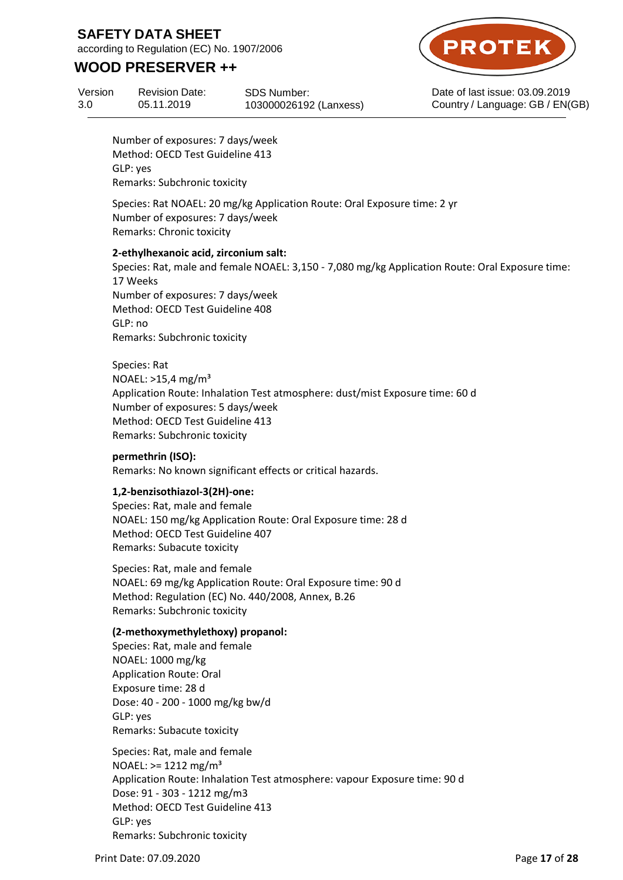according to Regulation (EC) No. 1907/2006

## **WOOD PRESERVER ++**



Version 3.0 Revision Date: 05.11.2019

SDS Number: 103000026192 (Lanxess) Date of last issue: 03.09.2019 Country / Language: GB / EN(GB)

Number of exposures: 7 days/week Method: OECD Test Guideline 413 GLP: yes Remarks: Subchronic toxicity

Species: Rat NOAEL: 20 mg/kg Application Route: Oral Exposure time: 2 yr Number of exposures: 7 days/week Remarks: Chronic toxicity

### **2-ethylhexanoic acid, zirconium salt:**

Species: Rat, male and female NOAEL: 3,150 - 7,080 mg/kg Application Route: Oral Exposure time: 17 Weeks Number of exposures: 7 days/week Method: OECD Test Guideline 408 GLP: no Remarks: Subchronic toxicity

Species: Rat NOAEL:  $>15,4$  mg/m<sup>3</sup> Application Route: Inhalation Test atmosphere: dust/mist Exposure time: 60 d Number of exposures: 5 days/week Method: OECD Test Guideline 413 Remarks: Subchronic toxicity

### **permethrin (ISO):**

Remarks: No known significant effects or critical hazards.

### **1,2-benzisothiazol-3(2H)-one:**

Species: Rat, male and female NOAEL: 150 mg/kg Application Route: Oral Exposure time: 28 d Method: OECD Test Guideline 407 Remarks: Subacute toxicity

Species: Rat, male and female NOAEL: 69 mg/kg Application Route: Oral Exposure time: 90 d Method: Regulation (EC) No. 440/2008, Annex, B.26 Remarks: Subchronic toxicity

#### **(2-methoxymethylethoxy) propanol:**

Species: Rat, male and female NOAEL: 1000 mg/kg Application Route: Oral Exposure time: 28 d Dose: 40 - 200 - 1000 mg/kg bw/d GLP: yes Remarks: Subacute toxicity

Species: Rat, male and female  $NOAEL: = 1212 mg/m<sup>3</sup>$ Application Route: Inhalation Test atmosphere: vapour Exposure time: 90 d Dose: 91 - 303 - 1212 mg/m3 Method: OECD Test Guideline 413 GLP: yes Remarks: Subchronic toxicity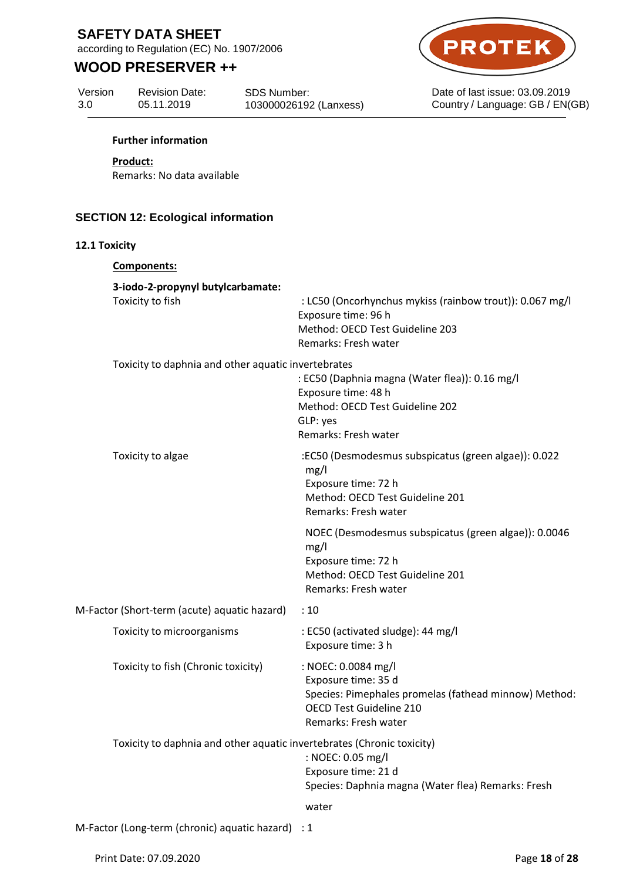according to Regulation (EC) No. 1907/2006

# **WOOD PRESERVER ++**



Date of last issue: 03.09.2019 Country / Language: GB / EN(GB)

Version 3.0

Revision Date: 05.11.2019

SDS Number: 103000026192 (Lanxess)

#### **Further information**

#### **Product:**

Remarks: No data available

## **SECTION 12: Ecological information**

#### **12.1 Toxicity**

| Components:                                                            |                                                                                                                                                               |
|------------------------------------------------------------------------|---------------------------------------------------------------------------------------------------------------------------------------------------------------|
| 3-iodo-2-propynyl butylcarbamate:<br>Toxicity to fish                  | : LC50 (Oncorhynchus mykiss (rainbow trout)): 0.067 mg/l<br>Exposure time: 96 h<br>Method: OECD Test Guideline 203<br>Remarks: Fresh water                    |
| Toxicity to daphnia and other aquatic invertebrates                    | : EC50 (Daphnia magna (Water flea)): 0.16 mg/l<br>Exposure time: 48 h<br>Method: OECD Test Guideline 202<br>GLP: yes<br>Remarks: Fresh water                  |
| Toxicity to algae                                                      | :EC50 (Desmodesmus subspicatus (green algae)): 0.022<br>mg/l<br>Exposure time: 72 h<br>Method: OECD Test Guideline 201<br>Remarks: Fresh water                |
|                                                                        | NOEC (Desmodesmus subspicatus (green algae)): 0.0046<br>mg/l<br>Exposure time: 72 h<br>Method: OECD Test Guideline 201<br>Remarks: Fresh water                |
| M-Factor (Short-term (acute) aquatic hazard)                           | :10                                                                                                                                                           |
| Toxicity to microorganisms                                             | : EC50 (activated sludge): 44 mg/l<br>Exposure time: 3 h                                                                                                      |
| Toxicity to fish (Chronic toxicity)                                    | : NOEC: 0.0084 mg/l<br>Exposure time: 35 d<br>Species: Pimephales promelas (fathead minnow) Method:<br><b>OECD Test Guideline 210</b><br>Remarks: Fresh water |
| Toxicity to daphnia and other aquatic invertebrates (Chronic toxicity) | : NOEC: 0.05 mg/l<br>Exposure time: 21 d<br>Species: Daphnia magna (Water flea) Remarks: Fresh                                                                |
|                                                                        | water                                                                                                                                                         |
| M-Factor (Long-term (chronic) aquatic hazard) : 1                      |                                                                                                                                                               |

Print Date: 07.09.2020 **Page 18** of 28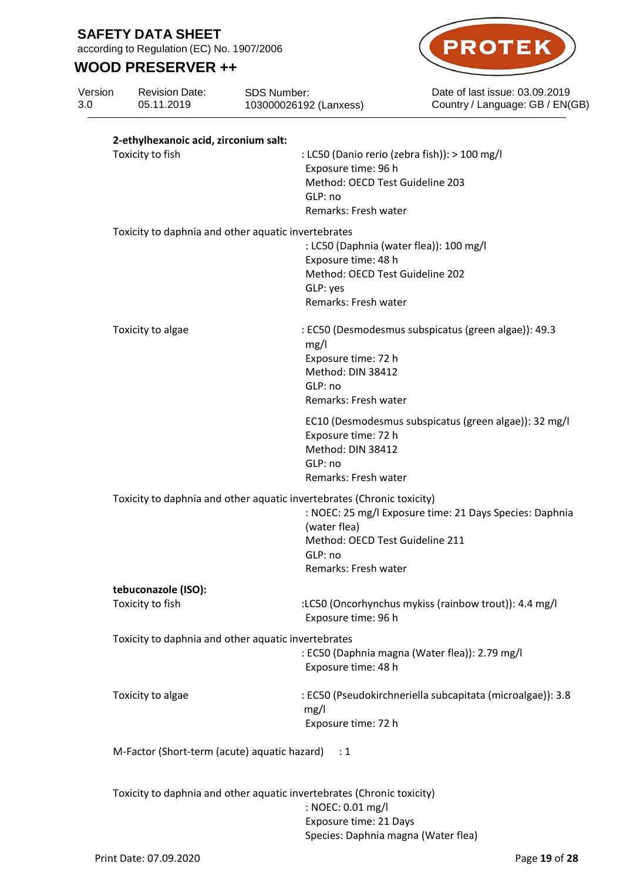according to Regulation (EC) No. 1907/2006

# **WOOD PRESERVER ++**



Date of last issue: 03.09.2019 Country / Language: GB / EN(GB)

| Version<br>3.0 | <b>Revision Date:</b><br>05.11.2019                       | SDS Number:<br>103000026192 (Lanxess)                                                                                                                        | Date of last issue: 03.09.2019<br>Country / Language: GB / EN(G |
|----------------|-----------------------------------------------------------|--------------------------------------------------------------------------------------------------------------------------------------------------------------|-----------------------------------------------------------------|
|                | 2-ethylhexanoic acid, zirconium salt:<br>Toxicity to fish | Exposure time: 96 h<br>Method: OECD Test Guideline 203<br>GLP: no<br>Remarks: Fresh water                                                                    | : LC50 (Danio rerio (zebra fish)): > 100 mg/l                   |
|                |                                                           | Toxicity to daphnia and other aquatic invertebrates<br>Exposure time: 48 h<br>Method: OECD Test Guideline 202<br>GLP: yes<br>Remarks: Fresh water            | : LC50 (Daphnia (water flea)): 100 mg/l                         |
|                | Toxicity to algae                                         | mg/l<br>Exposure time: 72 h<br>Method: DIN 38412<br>GLP: no<br>Remarks: Fresh water                                                                          | : EC50 (Desmodesmus subspicatus (green algae)): 49.3            |
|                |                                                           | Exposure time: 72 h<br>Method: DIN 38412<br>GLP: no<br>Remarks: Fresh water                                                                                  | EC10 (Desmodesmus subspicatus (green algae)): 32 mg/l           |
|                |                                                           | Toxicity to daphnia and other aquatic invertebrates (Chronic toxicity)<br>(water flea)<br>Method: OECD Test Guideline 211<br>GLP: no<br>Remarks: Fresh water | : NOEC: 25 mg/l Exposure time: 21 Days Species: Daphnia         |
|                | tebuconazole (ISO):                                       |                                                                                                                                                              |                                                                 |
|                | Toxicity to fish                                          | Exposure time: 96 h                                                                                                                                          | :LC50 (Oncorhynchus mykiss (rainbow trout)): 4.4 mg/l           |
|                |                                                           | Toxicity to daphnia and other aquatic invertebrates<br>Exposure time: 48 h                                                                                   | : EC50 (Daphnia magna (Water flea)): 2.79 mg/l                  |
|                | Toxicity to algae                                         | mg/l<br>Exposure time: 72 h                                                                                                                                  | : EC50 (Pseudokirchneriella subcapitata (microalgae)): 3.8      |
|                | M-Factor (Short-term (acute) aquatic hazard)              | : 1                                                                                                                                                          |                                                                 |
|                |                                                           | Toxicity to daphnia and other aquatic invertebrates (Chronic toxicity)                                                                                       |                                                                 |
|                |                                                           |                                                                                                                                                              |                                                                 |

: NOEC: 0.01 mg/l Exposure time: 21 Days Species: Daphnia magna (Water flea)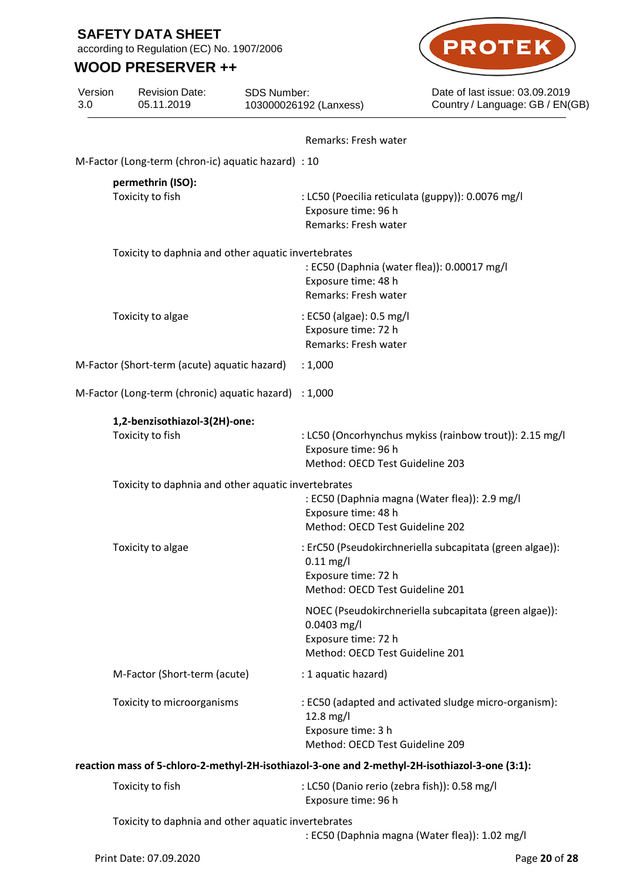Version

according to Regulation (EC) No. 1907/2006

Revision Date:

SDS Number:

# **WOOD PRESERVER ++**



Date of last issue: 03.09.2019 Country / Language: GB / EN(GB)

| 3.0 | 05.11.2019                                                                                     | 103000026192 (Lanxess)                                                  | Country / Language: GB / EN(                             |
|-----|------------------------------------------------------------------------------------------------|-------------------------------------------------------------------------|----------------------------------------------------------|
|     |                                                                                                | Remarks: Fresh water                                                    |                                                          |
|     | M-Factor (Long-term (chron-ic) aquatic hazard) : 10                                            |                                                                         |                                                          |
|     | permethrin (ISO):<br>Toxicity to fish                                                          | Exposure time: 96 h<br>Remarks: Fresh water                             | : LC50 (Poecilia reticulata (guppy)): 0.0076 mg/l        |
|     | Toxicity to daphnia and other aquatic invertebrates                                            | Exposure time: 48 h<br>Remarks: Fresh water                             | : EC50 (Daphnia (water flea)): 0.00017 mg/l              |
|     | Toxicity to algae                                                                              | : EC50 (algae): 0.5 mg/l<br>Exposure time: 72 h<br>Remarks: Fresh water |                                                          |
|     | M-Factor (Short-term (acute) aquatic hazard)                                                   | : 1,000                                                                 |                                                          |
|     | M-Factor (Long-term (chronic) aquatic hazard)                                                  | : 1,000                                                                 |                                                          |
|     | 1,2-benzisothiazol-3(2H)-one:<br>Toxicity to fish                                              | Exposure time: 96 h<br>Method: OECD Test Guideline 203                  | : LC50 (Oncorhynchus mykiss (rainbow trout)): 2.15 mg/l  |
|     | Toxicity to daphnia and other aquatic invertebrates                                            | Exposure time: 48 h<br>Method: OECD Test Guideline 202                  | : EC50 (Daphnia magna (Water flea)): 2.9 mg/l            |
|     | Toxicity to algae                                                                              | $0.11$ mg/l<br>Exposure time: 72 h<br>Method: OECD Test Guideline 201   | : ErC50 (Pseudokirchneriella subcapitata (green algae)): |
|     |                                                                                                | 0.0403 mg/l<br>Exposure time: 72 h<br>Method: OECD Test Guideline 201   | NOEC (Pseudokirchneriella subcapitata (green algae)):    |
|     | M-Factor (Short-term (acute)                                                                   | : 1 aquatic hazard)                                                     |                                                          |
|     | Toxicity to microorganisms                                                                     | 12.8 mg/l<br>Exposure time: 3 h<br>Method: OECD Test Guideline 209      | : EC50 (adapted and activated sludge micro-organism):    |
|     | reaction mass of 5-chloro-2-methyl-2H-isothiazol-3-one and 2-methyl-2H-isothiazol-3-one (3:1): |                                                                         |                                                          |
|     | Toxicity to fish                                                                               | Exposure time: 96 h                                                     | : LC50 (Danio rerio (zebra fish)): 0.58 mg/l             |
|     | Toxicity to daphnia and other aquatic invertebrates                                            |                                                                         | : EC50 (Daphnia magna (Water flea)): 1.02 mg/l           |

Print Date: 07.09.2020 **Page 20** of 28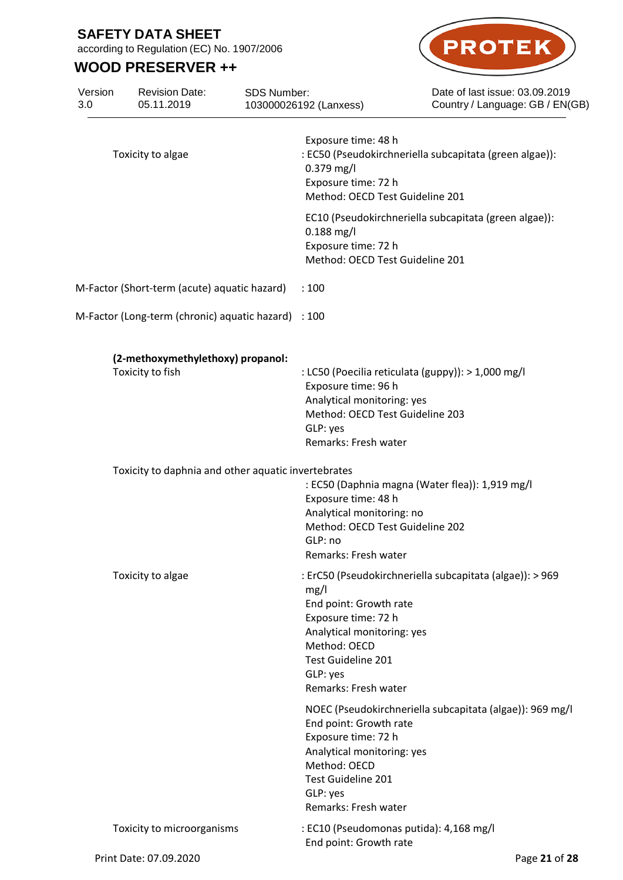Version

according to Regulation (EC) No. 1907/2006

Revision Date:

SDS Number:

# **WOOD PRESERVER ++**



Date of last issue: 03.09.2019 Country / Language: GB / EN(GB)

| 3.0 | 05.11.2019                                            | 103000026192 (Lanxess)                                                                                                          | Country / Language: GB / EN(G)                                                                                      |
|-----|-------------------------------------------------------|---------------------------------------------------------------------------------------------------------------------------------|---------------------------------------------------------------------------------------------------------------------|
|     | Toxicity to algae                                     | Exposure time: 48 h<br>$0.379$ mg/l<br>Exposure time: 72 h                                                                      | : EC50 (Pseudokirchneriella subcapitata (green algae)):<br>Method: OECD Test Guideline 201                          |
|     |                                                       | $0.188$ mg/l<br>Exposure time: 72 h                                                                                             | EC10 (Pseudokirchneriella subcapitata (green algae)):<br>Method: OECD Test Guideline 201                            |
|     | M-Factor (Short-term (acute) aquatic hazard)          | :100                                                                                                                            |                                                                                                                     |
|     | M-Factor (Long-term (chronic) aquatic hazard) : 100   |                                                                                                                                 |                                                                                                                     |
|     | (2-methoxymethylethoxy) propanol:<br>Toxicity to fish | Exposure time: 96 h<br>GLP: yes<br>Remarks: Fresh water                                                                         | : LC50 (Poecilia reticulata (guppy)): > 1,000 mg/l<br>Analytical monitoring: yes<br>Method: OECD Test Guideline 203 |
|     | Toxicity to daphnia and other aquatic invertebrates   | Exposure time: 48 h<br>GLP: no<br>Remarks: Fresh water                                                                          | : EC50 (Daphnia magna (Water flea)): 1,919 mg/l<br>Analytical monitoring: no<br>Method: OECD Test Guideline 202     |
|     | Toxicity to algae                                     | mg/l<br>End point: Growth rate<br>Exposure time: 72 h<br>Method: OECD<br>Test Guideline 201<br>GLP: yes<br>Remarks: Fresh water | : ErC50 (Pseudokirchneriella subcapitata (algae)): > 969<br>Analytical monitoring: yes                              |
|     |                                                       | End point: Growth rate<br>Exposure time: 72 h<br>Method: OECD<br>Test Guideline 201<br>GLP: yes<br>Remarks: Fresh water         | NOEC (Pseudokirchneriella subcapitata (algae)): 969 mg/l<br>Analytical monitoring: yes                              |
|     | Toxicity to microorganisms                            | End point: Growth rate                                                                                                          | : EC10 (Pseudomonas putida): 4,168 mg/l                                                                             |
|     | Print Date: 07.09.2020                                |                                                                                                                                 | Page 21 of 28                                                                                                       |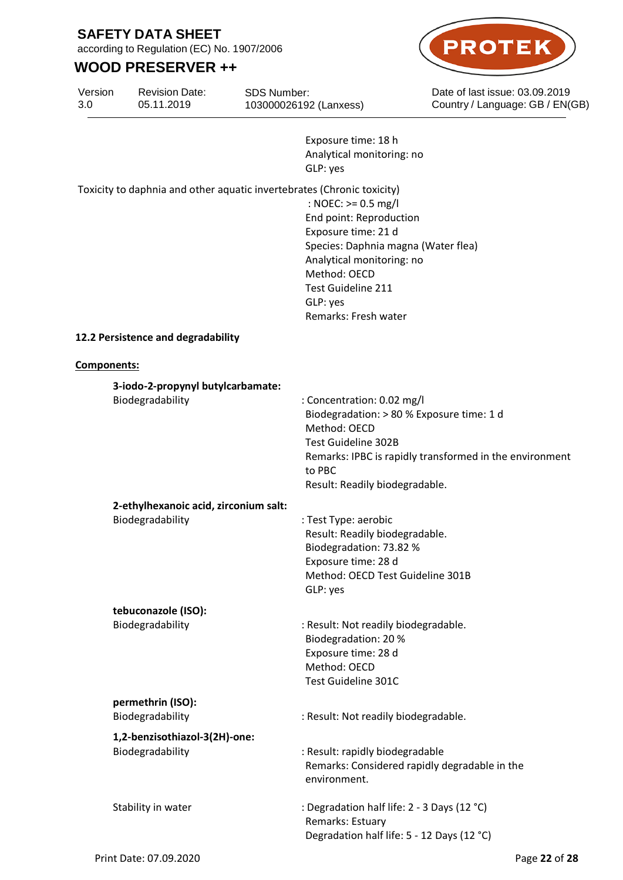according to Regulation (EC) No. 1907/2006

## **WOOD PRESERVER ++**



Date of last issue: 03.09.2019 Country / Language: GB / EN(GB)

Version 3.0 Revision Date: 05.11.2019

SDS Number: 103000026192 (Lanxess)

> Exposure time: 18 h Analytical monitoring: no GLP: yes

Toxicity to daphnia and other aquatic invertebrates (Chronic toxicity)

: NOEC: >= 0.5 mg/l End point: Reproduction Exposure time: 21 d Species: Daphnia magna (Water flea) Analytical monitoring: no Method: OECD Test Guideline 211 GLP: yes Remarks: Fresh water

### **12.2 Persistence and degradability**

#### **Components:**

| 3-iodo-2-propynyl butylcarbamate:     |                                                                                                                                                                                                                       |
|---------------------------------------|-----------------------------------------------------------------------------------------------------------------------------------------------------------------------------------------------------------------------|
| Biodegradability                      | : Concentration: 0.02 mg/l<br>Biodegradation: > 80 % Exposure time: 1 d<br>Method: OECD<br>Test Guideline 302B<br>Remarks: IPBC is rapidly transformed in the environment<br>to PBC<br>Result: Readily biodegradable. |
| 2-ethylhexanoic acid, zirconium salt: |                                                                                                                                                                                                                       |
| Biodegradability                      | : Test Type: aerobic<br>Result: Readily biodegradable.<br>Biodegradation: 73.82 %<br>Exposure time: 28 d<br>Method: OECD Test Guideline 301B<br>GLP: yes                                                              |
| tebuconazole (ISO):                   |                                                                                                                                                                                                                       |
| Biodegradability                      | : Result: Not readily biodegradable.<br>Biodegradation: 20 %<br>Exposure time: 28 d<br>Method: OECD<br>Test Guideline 301C                                                                                            |
| permethrin (ISO):                     |                                                                                                                                                                                                                       |
| Biodegradability                      | : Result: Not readily biodegradable.                                                                                                                                                                                  |
| 1,2-benzisothiazol-3(2H)-one:         |                                                                                                                                                                                                                       |
| Biodegradability                      | : Result: rapidly biodegradable<br>Remarks: Considered rapidly degradable in the<br>environment.                                                                                                                      |
| Stability in water                    | : Degradation half life: 2 - 3 Days (12 °C)<br>Remarks: Estuary<br>Degradation half life: 5 - 12 Days (12 °C)                                                                                                         |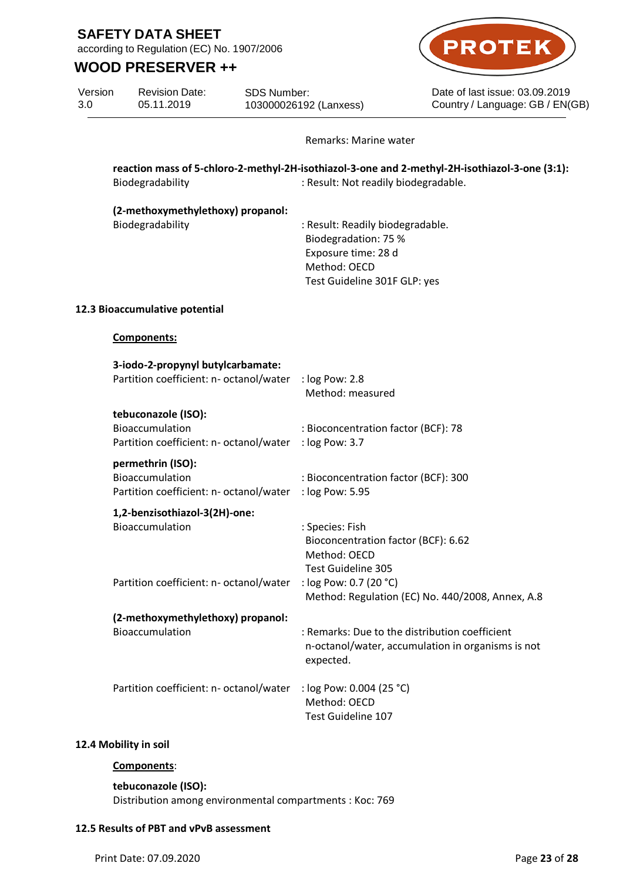according to Regulation (EC) No. 1907/2006

## **WOOD PRESERVER ++**



Date of last issue: 03.09.2019 Country / Language: GB / EN(GB)

Version 3.0 05.11.2019

Revision Date: SDS Number: 103000026192 (Lanxess)

Remarks: Marine water

**reaction mass of 5-chloro-2-methyl-2H-isothiazol-3-one and 2-methyl-2H-isothiazol-3-one (3:1):** Biodegradability : Result: Not readily biodegradable.

**(2-methoxymethylethoxy) propanol:**

Biodegradability : Result: Readily biodegradable. Biodegradation: 75 % Exposure time: 28 d Method: OECD Test Guideline 301F GLP: yes

### **12.3 Bioaccumulative potential**

**Components:**

| 3-iodo-2-propynyl butylcarbamate:                          |                                                                                                                  |
|------------------------------------------------------------|------------------------------------------------------------------------------------------------------------------|
| Partition coefficient: n- octanol/water                    | : log Pow: 2.8<br>Method: measured                                                                               |
| tebuconazole (ISO):                                        |                                                                                                                  |
| Bioaccumulation<br>Partition coefficient: n- octanol/water | : Bioconcentration factor (BCF): 78<br>: log Pow: 3.7                                                            |
| permethrin (ISO):                                          |                                                                                                                  |
| Bioaccumulation<br>Partition coefficient: n- octanol/water | : Bioconcentration factor (BCF): 300<br>: log Pow: 5.95                                                          |
| 1,2-benzisothiazol-3(2H)-one:                              |                                                                                                                  |
| <b>Bioaccumulation</b>                                     | : Species: Fish<br>Bioconcentration factor (BCF): 6.62<br>Method: OECD                                           |
|                                                            | Test Guideline 305                                                                                               |
| Partition coefficient: n- octanol/water                    | : log Pow: 0.7 (20 °C)<br>Method: Regulation (EC) No. 440/2008, Annex, A.8                                       |
| (2-methoxymethylethoxy) propanol:                          |                                                                                                                  |
| Bioaccumulation                                            | : Remarks: Due to the distribution coefficient<br>n-octanol/water, accumulation in organisms is not<br>expected. |
| Partition coefficient: n- octanol/water                    | : log Pow: 0.004 (25 °C)<br>Method: OECD<br>Test Guideline 107                                                   |

## **12.4 Mobility in soil**

## **Components**:

**tebuconazole (ISO):** Distribution among environmental compartments : Koc: 769

### **12.5 Results of PBT and vPvB assessment**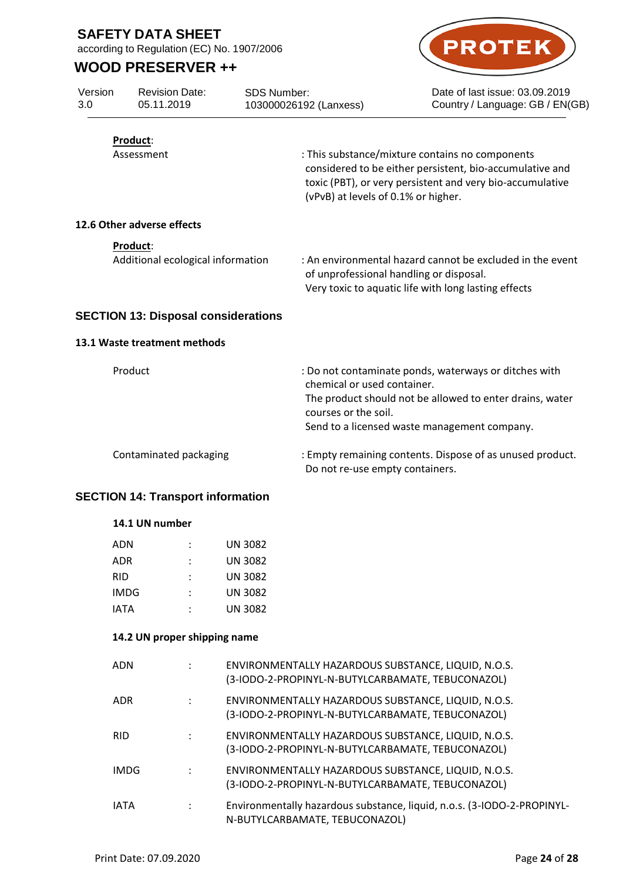according to Regulation (EC) No. 1907/2006

Revision Date: 05.11.2019

## **WOOD PRESERVER ++**



Date of last issue: 03.09.2019 Country / Language: GB / EN(GB)

| Version |  |
|---------|--|
| 3.0     |  |

SDS Number: 103000026192 (Lanxess)

| Product: |  |
|----------|--|
|          |  |

Assessment : This substance/mixture contains no components considered to be either persistent, bio-accumulative and toxic (PBT), or very persistent and very bio-accumulative (vPvB) at levels of 0.1% or higher.

### **12.6 Other adverse effects**

**Product**:

Additional ecological information : An environmental hazard cannot be excluded in the event of unprofessional handling or disposal. Very toxic to aquatic life with long lasting effects

## **SECTION 13: Disposal considerations**

### **13.1 Waste treatment methods**

| Product                | : Do not contaminate ponds, waterways or ditches with<br>chemical or used container.<br>The product should not be allowed to enter drains, water<br>courses or the soil.<br>Send to a licensed waste management company. |
|------------------------|--------------------------------------------------------------------------------------------------------------------------------------------------------------------------------------------------------------------------|
| Contaminated packaging | : Empty remaining contents. Dispose of as unused product.                                                                                                                                                                |
|                        | Do not re-use empty containers.                                                                                                                                                                                          |

### **SECTION 14: Transport information**

| ADN  | UN 3082        |
|------|----------------|
| ADR  | <b>UN 3082</b> |
| RID  | UN 3082        |
| IMDG | <b>UN 3082</b> |
| IATA | <b>UN 3082</b> |

### **14.2 UN proper shipping name**

| ADN         |                      | ENVIRONMENTALLY HAZARDOUS SUBSTANCE, LIQUID, N.O.S.<br>(3-IODO-2-PROPINYL-N-BUTYLCARBAMATE, TEBUCONAZOL)  |
|-------------|----------------------|-----------------------------------------------------------------------------------------------------------|
| ADR.        | ÷                    | ENVIRONMENTALLY HAZARDOUS SUBSTANCE, LIQUID, N.O.S.<br>(3-IODO-2-PROPINYL-N-BUTYLCARBAMATE, TEBUCONAZOL)  |
| <b>RID</b>  |                      | ENVIRONMENTALLY HAZARDOUS SUBSTANCE, LIQUID, N.O.S.<br>(3-IODO-2-PROPINYL-N-BUTYLCARBAMATE, TEBUCONAZOL)  |
| <b>IMDG</b> | $\ddot{\phantom{a}}$ | ENVIRONMENTALLY HAZARDOUS SUBSTANCE, LIQUID, N.O.S.<br>(3-IODO-2-PROPINYL-N-BUTYLCARBAMATE, TEBUCONAZOL)  |
| <b>IATA</b> | $\ddot{\phantom{a}}$ | Environmentally hazardous substance, liquid, n.o.s. (3-IODO-2-PROPINYL-<br>N-BUTYLCARBAMATE, TEBUCONAZOL) |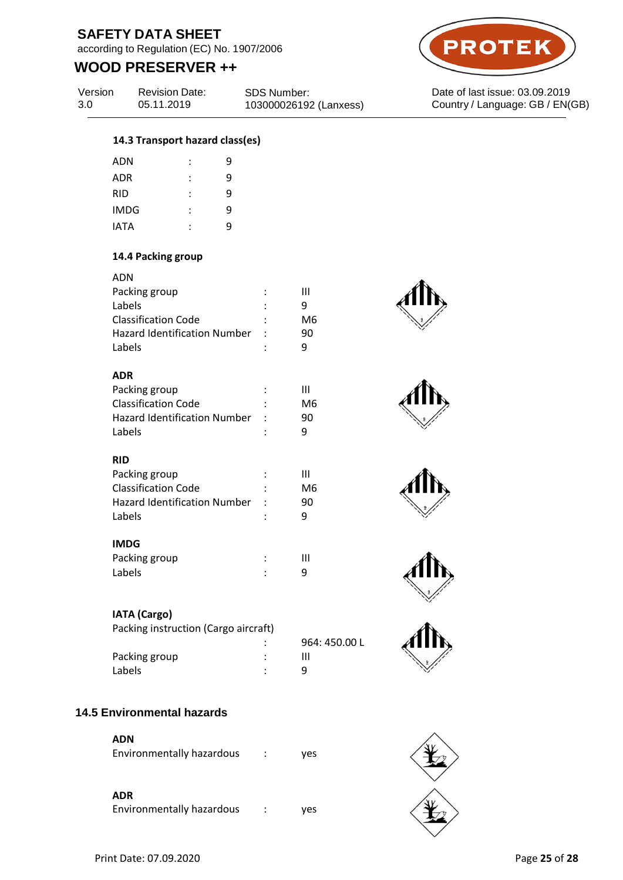according to Regulation (EC) No. 1907/2006

# **WOOD PRESERVER ++**



Revision Date: 05.11.2019

SDS Number: 103000026192 (Lanxess)



Date of last issue: 03.09.2019 Country / Language: GB / EN(GB)

### **14.3 Transport hazard class(es)**

| ADN         |   | 9 |
|-------------|---|---|
| <b>ADR</b>  | ٠ | 9 |
| <b>RID</b>  | ٠ | 9 |
| <b>IMDG</b> | ٠ | 9 |
| <b>IATA</b> | ٠ | ٩ |
|             |   |   |

## **14.4 Packing group**

| ADN                                 |    |
|-------------------------------------|----|
| Packing group                       | ш  |
| Labels                              | q  |
| <b>Classification Code</b>          | M6 |
| <b>Hazard Identification Number</b> | 90 |
| Labels                              | a  |

### **ADR**

| Packing group                       | ٠              | ш  |
|-------------------------------------|----------------|----|
| <b>Classification Code</b>          | $\ddot{\cdot}$ | M6 |
| <b>Hazard Identification Number</b> |                | 90 |
| Labels                              |                | q  |
|                                     |                |    |

## **RID**

| Packing group                       | ш  |
|-------------------------------------|----|
| <b>Classification Code</b>          | M6 |
| <b>Hazard Identification Number</b> | 90 |
| Labels                              | q  |
|                                     |    |

## **IMDG**

| Packing group | Ш |
|---------------|---|
| Labels        |   |

## **IATA (Cargo)**

Packing instruction (Cargo aircraft)

| Packing group | Ш |
|---------------|---|
| Labels        |   |

| 964: 450.00 L |  |
|---------------|--|
| Ш             |  |
| 9             |  |



## **ADN**

| Environmentally hazardous |  | yes |
|---------------------------|--|-----|
|---------------------------|--|-----|

### **ADR**

Environmentally hazardous : yes











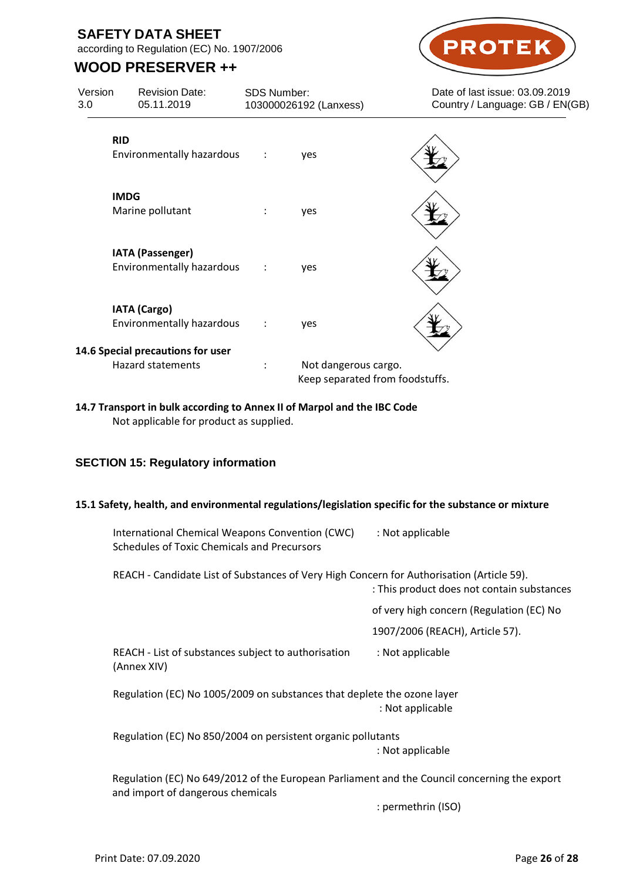according to Regulation (EC) No. 1907/2006

# **WOOD PRESERVER ++**



**14.7 Transport in bulk according to Annex II of Marpol and the IBC Code** Not applicable for product as supplied.

## **SECTION 15: Regulatory information**

### **15.1 Safety, health, and environmental regulations/legislation specific for the substance or mixture**

| International Chemical Weapons Convention (CWC)    | : Not applicable |
|----------------------------------------------------|------------------|
| <b>Schedules of Toxic Chemicals and Precursors</b> |                  |

REACH - Candidate List of Substances of Very High Concern for Authorisation (Article 59).

| REACH - Candidate List of Substances of Very High Concern for Authorisation (Article 59).                                         | : This product does not contain substances |
|-----------------------------------------------------------------------------------------------------------------------------------|--------------------------------------------|
|                                                                                                                                   | of very high concern (Regulation (EC) No   |
|                                                                                                                                   | 1907/2006 (REACH), Article 57).            |
| REACH - List of substances subject to authorisation<br>(Annex XIV)                                                                | : Not applicable                           |
| Regulation (EC) No 1005/2009 on substances that deplete the ozone layer                                                           | : Not applicable                           |
| Regulation (EC) No 850/2004 on persistent organic pollutants                                                                      | : Not applicable                           |
| Regulation (EC) No 649/2012 of the European Parliament and the Council concerning the export<br>and import of dangerous chemicals |                                            |
|                                                                                                                                   | : permethrin (ISO)                         |

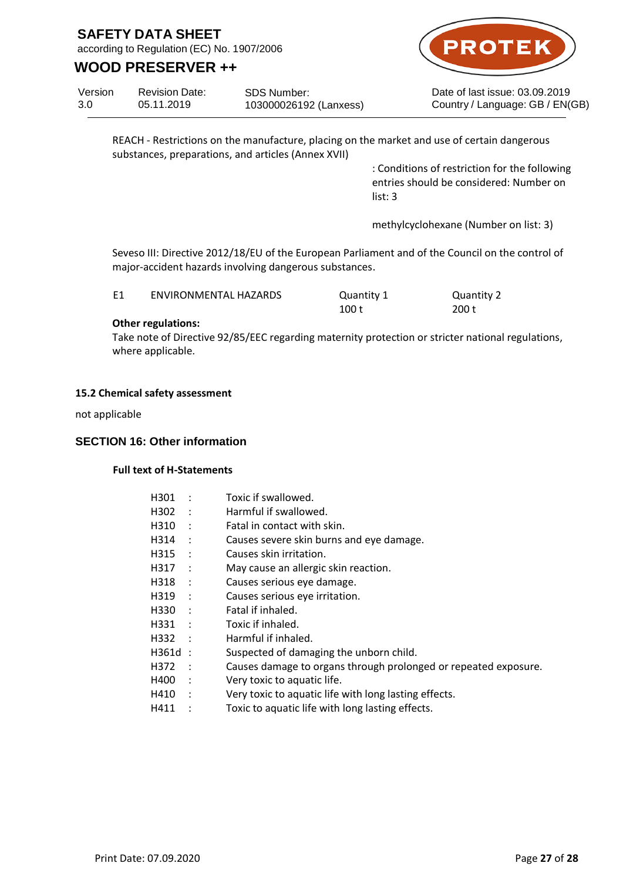according to Regulation (EC) No. 1907/2006

## **WOOD PRESERVER ++**



Date of last issue: 03.09.2019 Country / Language: GB / EN(GB)

Version 3.0 Revision Date: 05.11.2019 SDS Number: 103000026192 (Lanxess)

> REACH - Restrictions on the manufacture, placing on the market and use of certain dangerous substances, preparations, and articles (Annex XVII)

> > : Conditions of restriction for the following entries should be considered: Number on list: 3

methylcyclohexane (Number on list: 3)

Seveso III: Directive 2012/18/EU of the European Parliament and of the Council on the control of major-accident hazards involving dangerous substances.

| E1 | ENVIRONMENTAL HAZARDS | Quantity 1 | Quantity 2 |
|----|-----------------------|------------|------------|
|    |                       | 100 t      | 200 t      |

### **Other regulations:**

Take note of Directive 92/85/EEC regarding maternity protection or stricter national regulations, where applicable.

### **15.2 Chemical safety assessment**

not applicable

### **SECTION 16: Other information**

### **Full text of H-Statements**

| H301      |                      | Toxic if swallowed.                                             |
|-----------|----------------------|-----------------------------------------------------------------|
| H302      | $\cdot$ :            | Harmful if swallowed.                                           |
| H310      |                      | Fatal in contact with skin.                                     |
| H314      | $\ddot{\cdot}$       | Causes severe skin burns and eye damage.                        |
| H315      | $\cdot$ :            | Causes skin irritation.                                         |
| H317      | $\cdot$ :            | May cause an allergic skin reaction.                            |
| H318      | $\ddot{\phantom{1}}$ | Causes serious eye damage.                                      |
| H319      | $\mathbf{L}$         | Causes serious eye irritation.                                  |
| H330      | $\cdot$ :            | Fatal if inhaled.                                               |
| H331      | $\cdot$ :            | Toxic if inhaled.                                               |
| H332      |                      | Harmful if inhaled.                                             |
| $H361d$ : |                      | Suspected of damaging the unborn child.                         |
| H372      | $\cdot$ :            | Causes damage to organs through prolonged or repeated exposure. |
| H400      |                      | Very toxic to aquatic life.                                     |
| H410      | $\ddot{\phantom{0}}$ | Very toxic to aquatic life with long lasting effects.           |
| H411      |                      | Toxic to aquatic life with long lasting effects.                |
|           |                      |                                                                 |